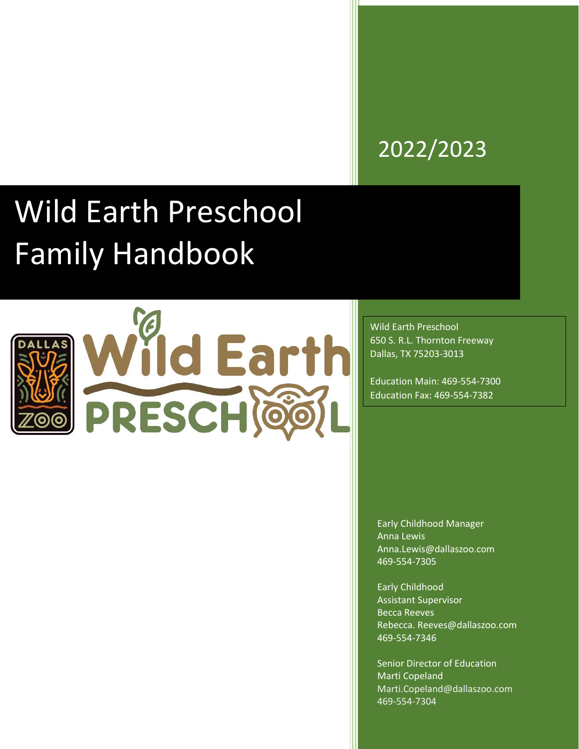# 2022/2023

# Wild Earth Preschool Family Handbook



Wild Earth Preschool 650 S. R.L. Thornton Freeway Dallas, TX 75203-3013

Education Main: 469-554-7300 Education Fax: 469-554-7382

Early Childhood Manager Anna Lewis Anna.Lewis@dallaszoo.com 469-554-7305

Early Childhood Assistant Supervisor Becca Reeves Rebecca. Reeves@dallaszoo.com 469-554-7346

Senior Director of Education Marti Copeland [Marti.Copeland@dallaszoo.com](mailto:Marti.Copeland@dallaszoo.com) 469-554-7304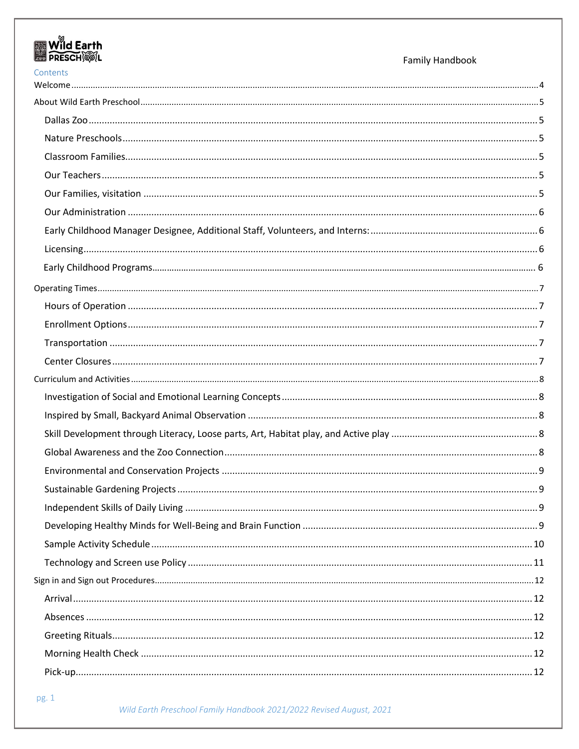| Wild Earth<br><b>PRESCHOOL</b> | Family Handbook |
|--------------------------------|-----------------|
| Contents                       |                 |
|                                |                 |
|                                |                 |
|                                |                 |
|                                |                 |
|                                |                 |
|                                |                 |
|                                |                 |
|                                |                 |
|                                |                 |
|                                |                 |
|                                |                 |
|                                |                 |
|                                |                 |
|                                |                 |
|                                |                 |
|                                |                 |
|                                |                 |
|                                |                 |
|                                |                 |
|                                |                 |
|                                |                 |
|                                |                 |
|                                |                 |
|                                |                 |
|                                |                 |
|                                |                 |
|                                |                 |
|                                |                 |
|                                |                 |
|                                |                 |
|                                |                 |
|                                |                 |
|                                |                 |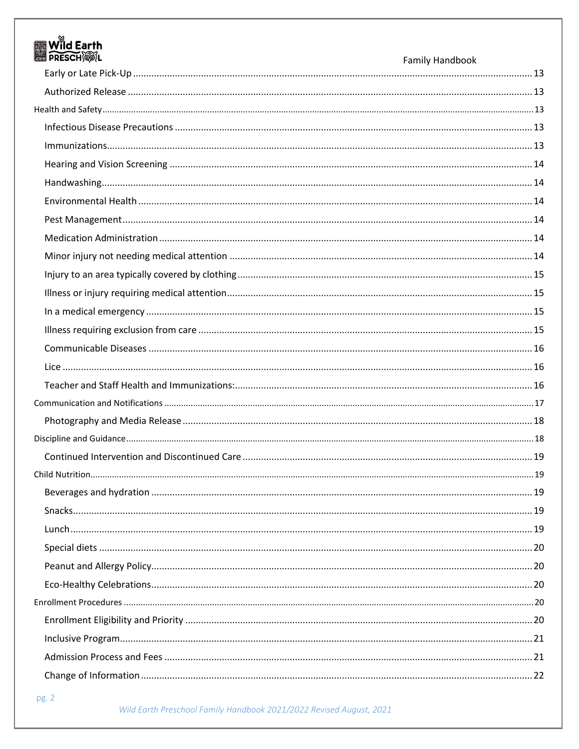| <b>M</b> Wild Earth<br><b>PRESCH®IL</b> | <b>Family Handbook</b> |
|-----------------------------------------|------------------------|
|                                         |                        |
|                                         |                        |
|                                         |                        |
|                                         |                        |
|                                         |                        |
|                                         |                        |
|                                         |                        |
|                                         |                        |
|                                         |                        |
|                                         |                        |
|                                         |                        |
|                                         |                        |
|                                         |                        |
|                                         |                        |
|                                         |                        |
|                                         |                        |
|                                         |                        |
|                                         |                        |
|                                         |                        |
|                                         |                        |
|                                         |                        |
|                                         |                        |
|                                         |                        |
|                                         |                        |
|                                         |                        |
|                                         |                        |
|                                         |                        |
|                                         |                        |
|                                         |                        |
|                                         |                        |
|                                         |                        |
|                                         |                        |
|                                         |                        |
|                                         |                        |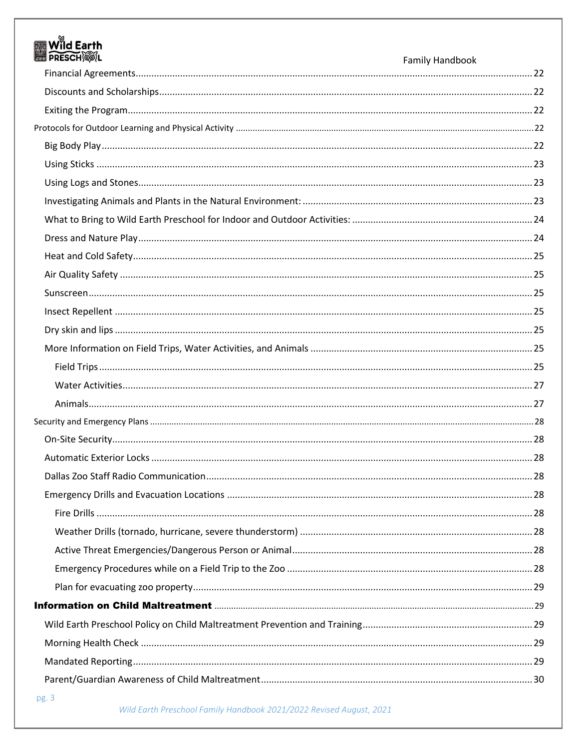| Wild Earth<br><b>ES PRESCHIEFL</b> | Family Handbook |
|------------------------------------|-----------------|
|                                    |                 |
|                                    |                 |
|                                    |                 |
|                                    |                 |
|                                    |                 |
|                                    |                 |
|                                    |                 |
|                                    |                 |
|                                    |                 |
|                                    |                 |
|                                    |                 |
|                                    |                 |
|                                    |                 |
|                                    |                 |
|                                    |                 |
|                                    |                 |
|                                    |                 |
|                                    |                 |
|                                    |                 |
|                                    |                 |
|                                    |                 |
|                                    |                 |
|                                    |                 |
|                                    |                 |
|                                    |                 |
|                                    |                 |
|                                    |                 |
|                                    |                 |
|                                    |                 |
|                                    |                 |
|                                    |                 |
|                                    |                 |
|                                    |                 |
|                                    |                 |
|                                    |                 |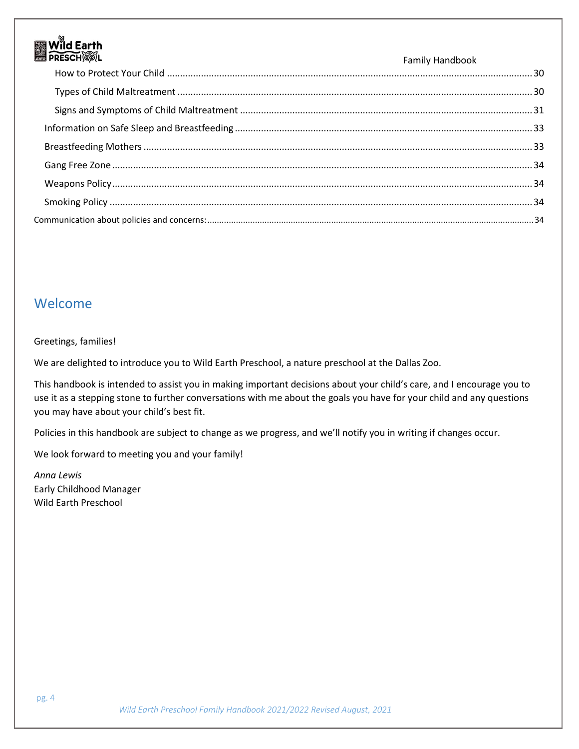# <span id="page-4-0"></span>Welcome

#### Greetings, families!

We are delighted to introduce you to Wild Earth Preschool, a nature preschool at the Dallas Zoo.

This handbook is intended to assist you in making important decisions about your child's care, and I encourage you to use it as a stepping stone to further conversations with me about the goals you have for your child and any questions you may have about your child's best fit.

Policies in this handbook are subject to change as we progress, and we'll notify you in writing if changes occur.

We look forward to meeting you and your family!

*Anna Lewis* Early Childhood Manager Wild Earth Preschool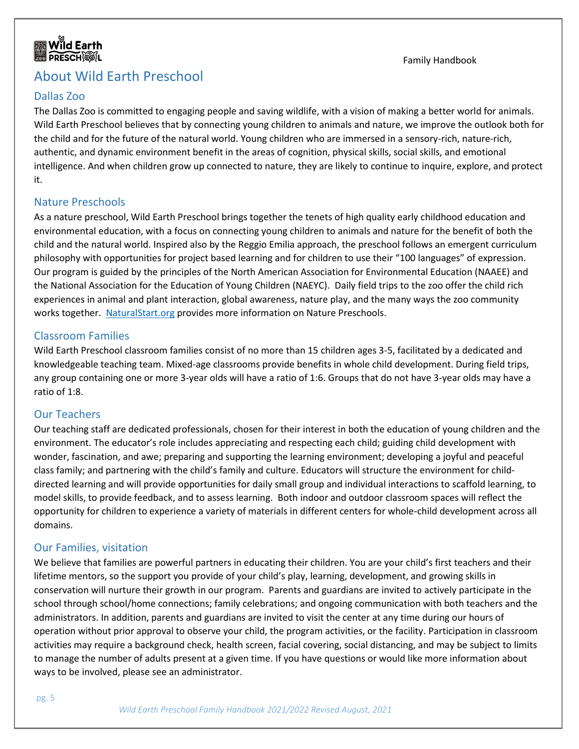

# <span id="page-5-0"></span>About Wild Earth Preschool

#### <span id="page-5-1"></span>Dallas Zoo

The Dallas Zoo is committed to engaging people and saving wildlife, with a vision of making a better world for animals. Wild Earth Preschool believes that by connecting young children to animals and nature, we improve the outlook both for the child and for the future of the natural world. Young children who are immersed in a sensory-rich, nature-rich, authentic, and dynamic environment benefit in the areas of cognition, physical skills, social skills, and emotional intelligence. And when children grow up connected to nature, they are likely to continue to inquire, explore, and protect it.

Family Handbook

#### <span id="page-5-2"></span>Nature Preschools

As a nature preschool, Wild Earth Preschool brings together the tenets of high quality early childhood education and environmental education, with a focus on connecting young children to animals and nature for the benefit of both the child and the natural world. Inspired also by the Reggio Emilia approach, the preschool follows an emergent curriculum philosophy with opportunities for project based learning and for children to use their "100 languages" of expression. Our program is guided by the principles of the North American Association for Environmental Education (NAAEE) and the National Association for the Education of Young Children (NAEYC). Daily field trips to the zoo offer the child rich experiences in animal and plant interaction, global awareness, nature play, and the many ways the zoo community works together. [NaturalStart.org](https://naturalstart.org/) provides more information on Nature Preschools.

#### <span id="page-5-3"></span>Classroom Families

Wild Earth Preschool classroom families consist of no more than 15 children ages 3-5, facilitated by a dedicated and knowledgeable teaching team. Mixed-age classrooms provide benefits in whole child development. During field trips, any group containing one or more 3-year olds will have a ratio of 1:6. Groups that do not have 3-year olds may have a ratio of 1:8.

#### <span id="page-5-4"></span>Our Teachers

Our teaching staff are dedicated professionals, chosen for their interest in both the education of young children and the environment. The educator's role includes appreciating and respecting each child; guiding child development with wonder, fascination, and awe; preparing and supporting the learning environment; developing a joyful and peaceful class family; and partnering with the child's family and culture. Educators will structure the environment for childdirected learning and will provide opportunities for daily small group and individual interactions to scaffold learning, to model skills, to provide feedback, and to assess learning. Both indoor and outdoor classroom spaces will reflect the opportunity for children to experience a variety of materials in different centers for whole-child development across all domains.

#### <span id="page-5-5"></span>Our Families, visitation

We believe that families are powerful partners in educating their children. You are your child's first teachers and their lifetime mentors, so the support you provide of your child's play, learning, development, and growing skills in conservation will nurture their growth in our program. Parents and guardians are invited to actively participate in the school through school/home connections; family celebrations; and ongoing communication with both teachers and the administrators. In addition, parents and guardians are invited to visit the center at any time during our hours of operation without prior approval to observe your child, the program activities, or the facility. Participation in classroom activities may require a background check, health screen, facial covering, social distancing, and may be subject to limits to manage the number of adults present at a given time. If you have questions or would like more information about ways to be involved, please see an administrator.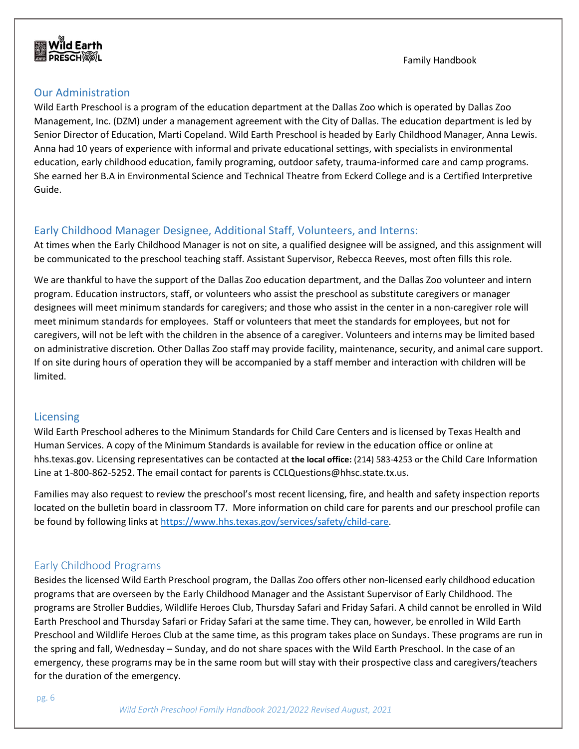#### <span id="page-6-0"></span>Our Administration

Wild Earth Preschool is a program of the education department at the Dallas Zoo which is operated by Dallas Zoo Management, Inc. (DZM) under a management agreement with the City of Dallas. The education department is led by Senior Director of Education, Marti Copeland. Wild Earth Preschool is headed by Early Childhood Manager, Anna Lewis. Anna had 10 years of experience with informal and private educational settings, with specialists in environmental education, early childhood education, family programing, outdoor safety, trauma-informed care and camp programs. She earned her B.A in Environmental Science and Technical Theatre from Eckerd College and is a Certified Interpretive Guide.

#### <span id="page-6-1"></span>Early Childhood Manager Designee, Additional Staff, Volunteers, and Interns:

At times when the Early Childhood Manager is not on site, a qualified designee will be assigned, and this assignment will be communicated to the preschool teaching staff. Assistant Supervisor, Rebecca Reeves, most often fills this role.

We are thankful to have the support of the Dallas Zoo education department, and the Dallas Zoo volunteer and intern program. Education instructors, staff, or volunteers who assist the preschool as substitute caregivers or manager designees will meet minimum standards for caregivers; and those who assist in the center in a non-caregiver role will meet minimum standards for employees. Staff or volunteers that meet the standards for employees, but not for caregivers, will not be left with the children in the absence of a caregiver. Volunteers and interns may be limited based on administrative discretion. Other Dallas Zoo staff may provide facility, maintenance, security, and animal care support. If on site during hours of operation they will be accompanied by a staff member and interaction with children will be limited.

#### <span id="page-6-2"></span>**Licensing**

Wild Earth Preschool adheres to the Minimum Standards for Child Care Centers and is licensed by Texas Health and Human Services. A copy of the Minimum Standards is available for review in the education office or online at hhs.texas.gov. Licensing representatives can be contacted at **the local office:** (214) 583-4253 or the Child Care Information Line at 1-800-862-5252. The email contact for parents is CCLQuestions@hhsc.state.tx.us.

Families may also request to review the preschool's most recent licensing, fire, and health and safety inspection reports located on the bulletin board in classroom T7. More information on child care for parents and our preschool profile can be found by following links at [https://www.hhs.texas.gov/services/safety/child-care.](https://www.hhs.texas.gov/services/safety/child-care)

#### Early Childhood Programs

Besides the licensed Wild Earth Preschool program, the Dallas Zoo offers other non-licensed early childhood education programs that are overseen by the Early Childhood Manager and the Assistant Supervisor of Early Childhood. The programs are Stroller Buddies, Wildlife Heroes Club, Thursday Safari and Friday Safari. A child cannot be enrolled in Wild Earth Preschool and Thursday Safari or Friday Safari at the same time. They can, however, be enrolled in Wild Earth Preschool and Wildlife Heroes Club at the same time, as this program takes place on Sundays. These programs are run in the spring and fall, Wednesday – Sunday, and do not share spaces with the Wild Earth Preschool. In the case of an emergency, these programs may be in the same room but will stay with their prospective class and caregivers/teachers for the duration of the emergency.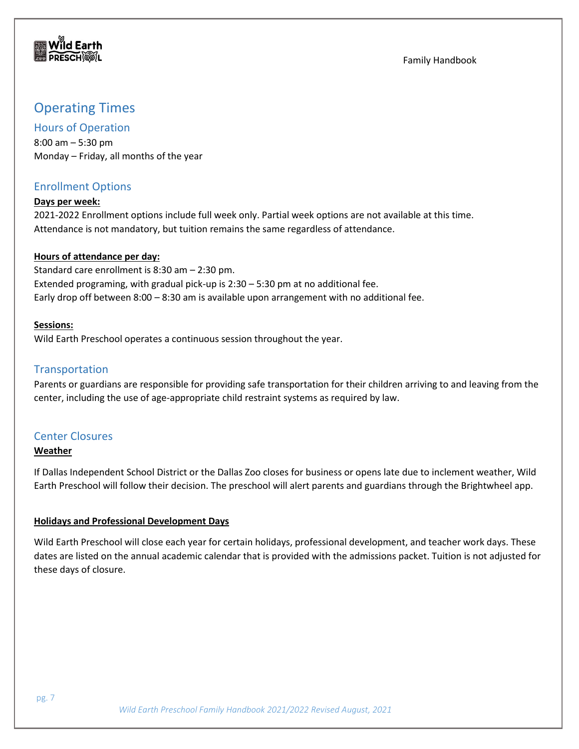

# <span id="page-7-0"></span>Operating Times

#### <span id="page-7-1"></span>Hours of Operation

8:00 am – 5:30 pm Monday – Friday, all months of the year

### <span id="page-7-2"></span>Enrollment Options

#### **Days per week:**

2021-2022 Enrollment options include full week only. Partial week options are not available at this time. Attendance is not mandatory, but tuition remains the same regardless of attendance.

#### **Hours of attendance per day:**

Standard care enrollment is 8:30 am – 2:30 pm. Extended programing, with gradual pick-up is 2:30 – 5:30 pm at no additional fee. Early drop off between 8:00 – 8:30 am is available upon arrangement with no additional fee.

#### **Sessions:**

Wild Earth Preschool operates a continuous session throughout the year.

#### <span id="page-7-3"></span>**Transportation**

Parents or guardians are responsible for providing safe transportation for their children arriving to and leaving from the center, including the use of age-appropriate child restraint systems as required by law.

#### <span id="page-7-4"></span>Center Closures

#### **Weather**

If Dallas Independent School District or the Dallas Zoo closes for business or opens late due to inclement weather, Wild Earth Preschool will follow their decision. The preschool will alert parents and guardians through the Brightwheel app.

#### **Holidays and Professional Development Days**

Wild Earth Preschool will close each year for certain holidays, professional development, and teacher work days. These dates are listed on the annual academic calendar that is provided with the admissions packet. Tuition is not adjusted for these days of closure.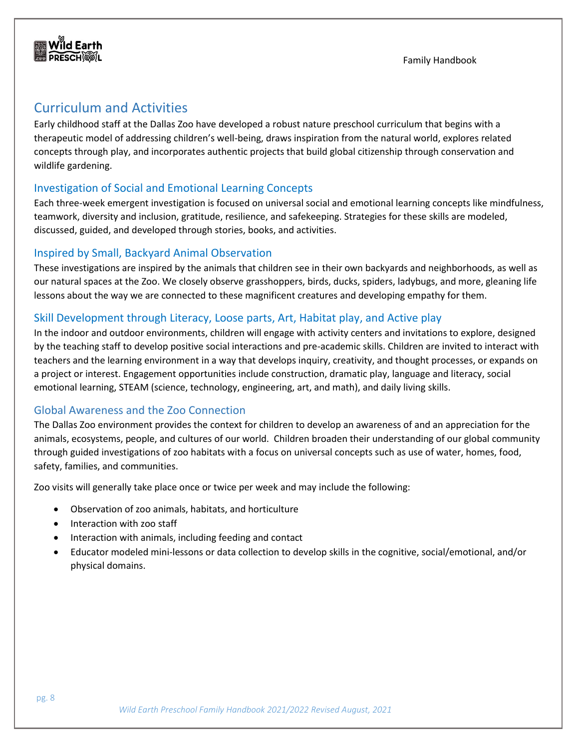

# <span id="page-8-0"></span>Curriculum and Activities

Early childhood staff at the Dallas Zoo have developed a robust nature preschool curriculum that begins with a therapeutic model of addressing children's well-being, draws inspiration from the natural world, explores related concepts through play, and incorporates authentic projects that build global citizenship through conservation and wildlife gardening.

#### <span id="page-8-1"></span>Investigation of Social and Emotional Learning Concepts

Each three-week emergent investigation is focused on universal social and emotional learning concepts like mindfulness, teamwork, diversity and inclusion, gratitude, resilience, and safekeeping. Strategies for these skills are modeled, discussed, guided, and developed through stories, books, and activities.

#### <span id="page-8-2"></span>Inspired by Small, Backyard Animal Observation

These investigations are inspired by the animals that children see in their own backyards and neighborhoods, as well as our natural spaces at the Zoo. We closely observe grasshoppers, birds, ducks, spiders, ladybugs, and more, gleaning life lessons about the way we are connected to these magnificent creatures and developing empathy for them.

#### <span id="page-8-3"></span>Skill Development through Literacy, Loose parts, Art, Habitat play, and Active play

In the indoor and outdoor environments, children will engage with activity centers and invitations to explore, designed by the teaching staff to develop positive social interactions and pre-academic skills. Children are invited to interact with teachers and the learning environment in a way that develops inquiry, creativity, and thought processes, or expands on a project or interest. Engagement opportunities include construction, dramatic play, language and literacy, social emotional learning, STEAM (science, technology, engineering, art, and math), and daily living skills.

#### <span id="page-8-4"></span>Global Awareness and the Zoo Connection

The Dallas Zoo environment provides the context for children to develop an awareness of and an appreciation for the animals, ecosystems, people, and cultures of our world. Children broaden their understanding of our global community through guided investigations of zoo habitats with a focus on universal concepts such as use of water, homes, food, safety, families, and communities.

Zoo visits will generally take place once or twice per week and may include the following:

- Observation of zoo animals, habitats, and horticulture
- Interaction with zoo staff
- Interaction with animals, including feeding and contact
- Educator modeled mini-lessons or data collection to develop skills in the cognitive, social/emotional, and/or physical domains.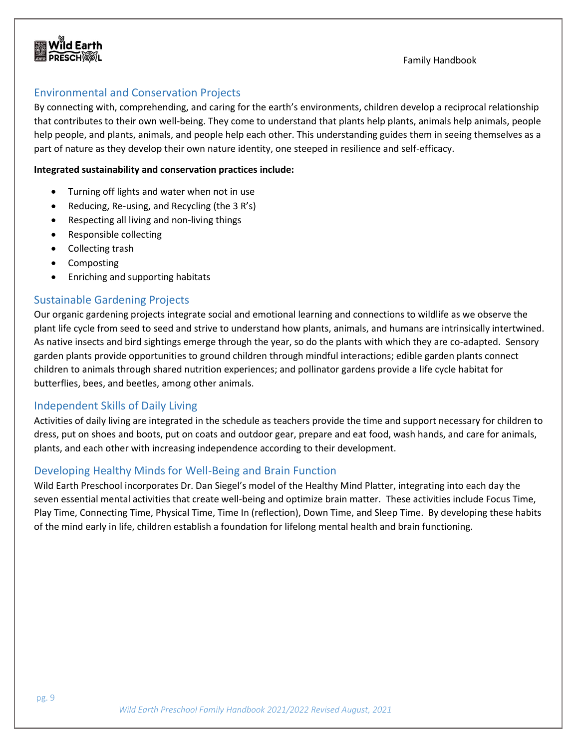

#### <span id="page-9-0"></span>Environmental and Conservation Projects

By connecting with, comprehending, and caring for the earth's environments, children develop a reciprocal relationship that contributes to their own well-being. They come to understand that plants help plants, animals help animals, people help people, and plants, animals, and people help each other. This understanding guides them in seeing themselves as a part of nature as they develop their own nature identity, one steeped in resilience and self-efficacy.

#### **Integrated sustainability and conservation practices include:**

- Turning off lights and water when not in use
- Reducing, Re-using, and Recycling (the 3 R's)
- Respecting all living and non-living things
- Responsible collecting
- Collecting trash
- Composting
- Enriching and supporting habitats

#### <span id="page-9-1"></span>Sustainable Gardening Projects

Our organic gardening projects integrate social and emotional learning and connections to wildlife as we observe the plant life cycle from seed to seed and strive to understand how plants, animals, and humans are intrinsically intertwined. As native insects and bird sightings emerge through the year, so do the plants with which they are co-adapted. Sensory garden plants provide opportunities to ground children through mindful interactions; edible garden plants connect children to animals through shared nutrition experiences; and pollinator gardens provide a life cycle habitat for butterflies, bees, and beetles, among other animals.

#### <span id="page-9-2"></span>Independent Skills of Daily Living

Activities of daily living are integrated in the schedule as teachers provide the time and support necessary for children to dress, put on shoes and boots, put on coats and outdoor gear, prepare and eat food, wash hands, and care for animals, plants, and each other with increasing independence according to their development.

#### <span id="page-9-3"></span>Developing Healthy Minds for Well-Being and Brain Function

Wild Earth Preschool incorporates Dr. Dan Siegel's model of the Healthy Mind Platter, integrating into each day the seven essential mental activities that create well-being and optimize brain matter. These activities include Focus Time, Play Time, Connecting Time, Physical Time, Time In (reflection), Down Time, and Sleep Time. By developing these habits of the mind early in life, children establish a foundation for lifelong mental health and brain functioning.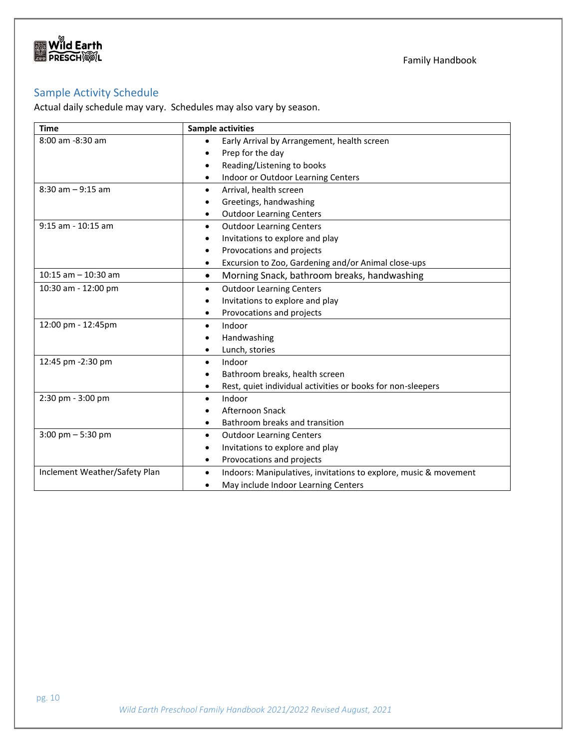

# <span id="page-10-0"></span>Sample Activity Schedule

Actual daily schedule may vary. Schedules may also vary by season.

| <b>Time</b>                   | <b>Sample activities</b>                                                      |
|-------------------------------|-------------------------------------------------------------------------------|
| 8:00 am -8:30 am              | Early Arrival by Arrangement, health screen<br>$\bullet$                      |
|                               | Prep for the day<br>$\bullet$                                                 |
|                               | Reading/Listening to books<br>$\bullet$                                       |
|                               | Indoor or Outdoor Learning Centers<br>$\bullet$                               |
| $8:30$ am $-9:15$ am          | Arrival, health screen<br>$\bullet$                                           |
|                               | Greetings, handwashing                                                        |
|                               | <b>Outdoor Learning Centers</b><br>٠                                          |
| 9:15 am - 10:15 am            | <b>Outdoor Learning Centers</b><br>$\bullet$                                  |
|                               | Invitations to explore and play<br>٠                                          |
|                               | Provocations and projects<br>$\bullet$                                        |
|                               | Excursion to Zoo, Gardening and/or Animal close-ups<br>$\bullet$              |
| $10:15$ am $- 10:30$ am       | Morning Snack, bathroom breaks, handwashing<br>$\bullet$                      |
| 10:30 am - 12:00 pm           | <b>Outdoor Learning Centers</b><br>$\bullet$                                  |
|                               | Invitations to explore and play<br>$\bullet$                                  |
|                               | Provocations and projects<br>٠                                                |
| 12:00 pm - 12:45pm            | Indoor<br>$\bullet$                                                           |
|                               | Handwashing                                                                   |
|                               | Lunch, stories<br>٠                                                           |
| 12:45 pm -2:30 pm             | Indoor<br>$\bullet$                                                           |
|                               | Bathroom breaks, health screen                                                |
|                               | Rest, quiet individual activities or books for non-sleepers<br>$\bullet$      |
| 2:30 pm - 3:00 pm             | Indoor<br>$\bullet$                                                           |
|                               | Afternoon Snack<br>٠                                                          |
|                               | Bathroom breaks and transition                                                |
| $3:00$ pm $-5:30$ pm          | <b>Outdoor Learning Centers</b><br>٠                                          |
|                               | Invitations to explore and play<br>$\bullet$                                  |
|                               | Provocations and projects<br>٠                                                |
| Inclement Weather/Safety Plan | Indoors: Manipulatives, invitations to explore, music & movement<br>$\bullet$ |
|                               | May include Indoor Learning Centers<br>٠                                      |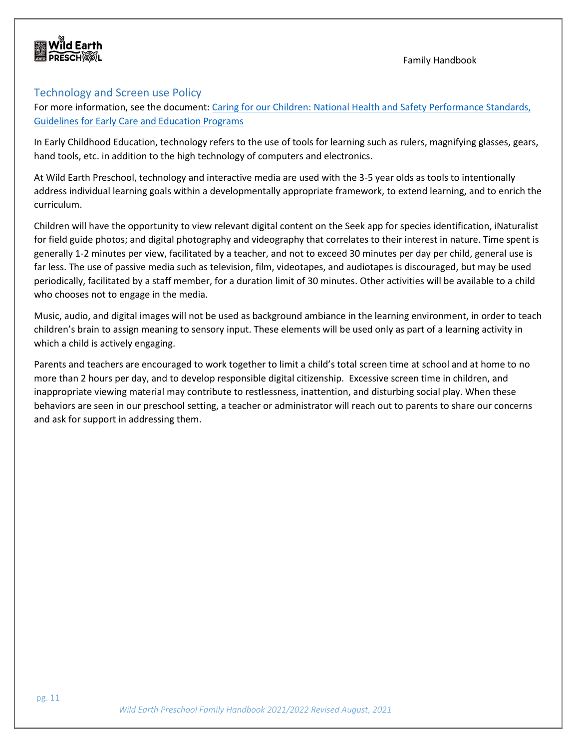

#### <span id="page-11-0"></span>Technology and Screen use Policy

For more information, see the document: [Caring for our Children: National Health and Safety Performance Standards,](https://nrckids.org/files/CFOC4%20pdf-%20FINAL.pdf)  [Guidelines for Early Care and Education Programs](https://nrckids.org/files/CFOC4%20pdf-%20FINAL.pdf)

In Early Childhood Education, technology refers to the use of tools for learning such as rulers, magnifying glasses, gears, hand tools, etc. in addition to the high technology of computers and electronics.

At Wild Earth Preschool, technology and interactive media are used with the 3-5 year olds as tools to intentionally address individual learning goals within a developmentally appropriate framework, to extend learning, and to enrich the curriculum.

Children will have the opportunity to view relevant digital content on the Seek app for species identification, iNaturalist for field guide photos; and digital photography and videography that correlates to their interest in nature. Time spent is generally 1-2 minutes per view, facilitated by a teacher, and not to exceed 30 minutes per day per child, general use is far less. The use of passive media such as television, film, videotapes, and audiotapes is discouraged, but may be used periodically, facilitated by a staff member, for a duration limit of 30 minutes. Other activities will be available to a child who chooses not to engage in the media.

Music, audio, and digital images will not be used as background ambiance in the learning environment, in order to teach children's brain to assign meaning to sensory input. These elements will be used only as part of a learning activity in which a child is actively engaging.

Parents and teachers are encouraged to work together to limit a child's total screen time at school and at home to no more than 2 hours per day, and to develop responsible digital citizenship. Excessive screen time in children, and inappropriate viewing material may contribute to restlessness, inattention, and disturbing social play. When these behaviors are seen in our preschool setting, a teacher or administrator will reach out to parents to share our concerns and ask for support in addressing them.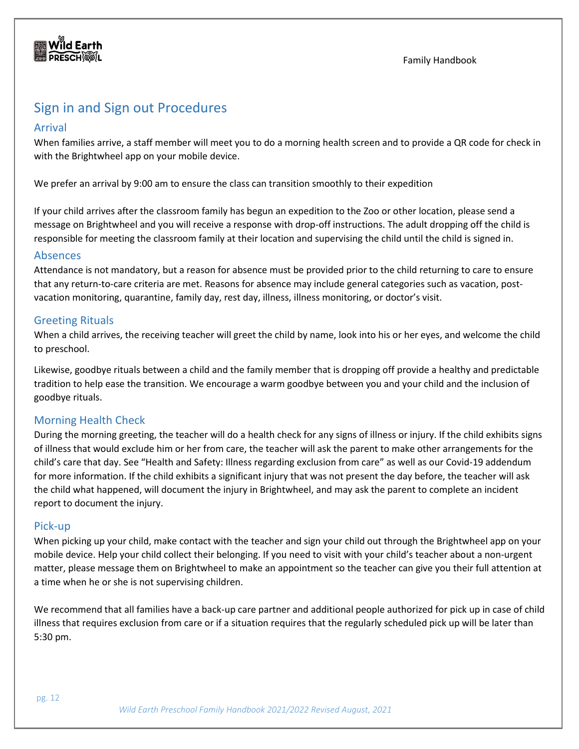

# <span id="page-12-0"></span>Sign in and Sign out Procedures

#### <span id="page-12-1"></span>Arrival

When families arrive, a staff member will meet you to do a morning health screen and to provide a QR code for check in with the Brightwheel app on your mobile device.

We prefer an arrival by 9:00 am to ensure the class can transition smoothly to their expedition

If your child arrives after the classroom family has begun an expedition to the Zoo or other location, please send a message on Brightwheel and you will receive a response with drop-off instructions. The adult dropping off the child is responsible for meeting the classroom family at their location and supervising the child until the child is signed in.

#### <span id="page-12-2"></span>Absences

Attendance is not mandatory, but a reason for absence must be provided prior to the child returning to care to ensure that any return-to-care criteria are met. Reasons for absence may include general categories such as vacation, postvacation monitoring, quarantine, family day, rest day, illness, illness monitoring, or doctor's visit.

#### <span id="page-12-3"></span>Greeting Rituals

When a child arrives, the receiving teacher will greet the child by name, look into his or her eyes, and welcome the child to preschool.

Likewise, goodbye rituals between a child and the family member that is dropping off provide a healthy and predictable tradition to help ease the transition. We encourage a warm goodbye between you and your child and the inclusion of goodbye rituals.

#### <span id="page-12-4"></span>Morning Health Check

During the morning greeting, the teacher will do a health check for any signs of illness or injury. If the child exhibits signs of illness that would exclude him or her from care, the teacher will ask the parent to make other arrangements for the child's care that day. See "Health and Safety: Illness regarding exclusion from care" as well as our Covid-19 addendum for more information. If the child exhibits a significant injury that was not present the day before, the teacher will ask the child what happened, will document the injury in Brightwheel, and may ask the parent to complete an incident report to document the injury.

#### <span id="page-12-5"></span>Pick-up

When picking up your child, make contact with the teacher and sign your child out through the Brightwheel app on your mobile device. Help your child collect their belonging. If you need to visit with your child's teacher about a non-urgent matter, please message them on Brightwheel to make an appointment so the teacher can give you their full attention at a time when he or she is not supervising children.

We recommend that all families have a back-up care partner and additional people authorized for pick up in case of child illness that requires exclusion from care or if a situation requires that the regularly scheduled pick up will be later than 5:30 pm.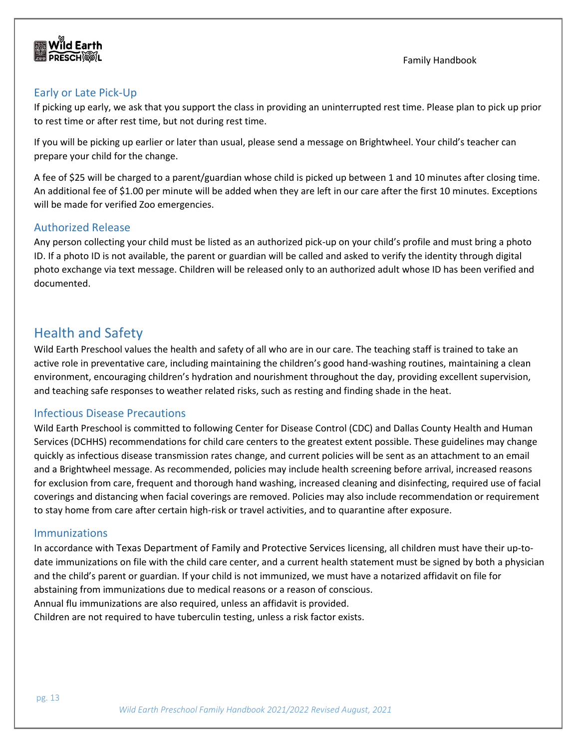### <span id="page-13-0"></span>Early or Late Pick-Up

If picking up early, we ask that you support the class in providing an uninterrupted rest time. Please plan to pick up prior to rest time or after rest time, but not during rest time.

If you will be picking up earlier or later than usual, please send a message on Brightwheel. Your child's teacher can prepare your child for the change.

A fee of \$25 will be charged to a parent/guardian whose child is picked up between 1 and 10 minutes after closing time. An additional fee of \$1.00 per minute will be added when they are left in our care after the first 10 minutes. Exceptions will be made for verified Zoo emergencies.

### <span id="page-13-1"></span>Authorized Release

Any person collecting your child must be listed as an authorized pick-up on your child's profile and must bring a photo ID. If a photo ID is not available, the parent or guardian will be called and asked to verify the identity through digital photo exchange via text message. Children will be released only to an authorized adult whose ID has been verified and documented.

# <span id="page-13-2"></span>Health and Safety

Wild Earth Preschool values the health and safety of all who are in our care. The teaching staff is trained to take an active role in preventative care, including maintaining the children's good hand-washing routines, maintaining a clean environment, encouraging children's hydration and nourishment throughout the day, providing excellent supervision, and teaching safe responses to weather related risks, such as resting and finding shade in the heat.

### <span id="page-13-3"></span>Infectious Disease Precautions

Wild Earth Preschool is committed to following Center for Disease Control (CDC) and Dallas County Health and Human Services (DCHHS) recommendations for child care centers to the greatest extent possible. These guidelines may change quickly as infectious disease transmission rates change, and current policies will be sent as an attachment to an email and a Brightwheel message. As recommended, policies may include health screening before arrival, increased reasons for exclusion from care, frequent and thorough hand washing, increased cleaning and disinfecting, required use of facial coverings and distancing when facial coverings are removed. Policies may also include recommendation or requirement to stay home from care after certain high-risk or travel activities, and to quarantine after exposure.

#### <span id="page-13-4"></span>Immunizations

In accordance with Texas Department of Family and Protective Services licensing, all children must have their up-todate immunizations on file with the child care center, and a current health statement must be signed by both a physician and the child's parent or guardian. If your child is not immunized, we must have a notarized affidavit on file for abstaining from immunizations due to medical reasons or a reason of conscious. Annual flu immunizations are also required, unless an affidavit is provided. Children are not required to have tuberculin testing, unless a risk factor exists.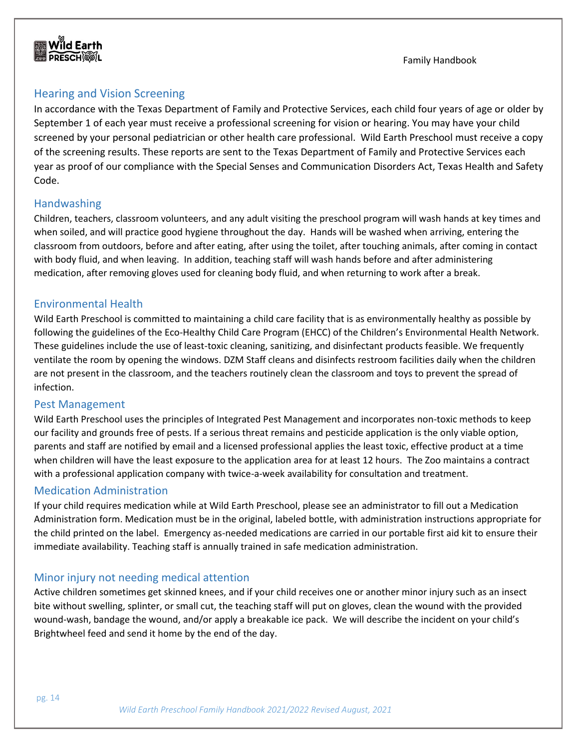

# <span id="page-14-0"></span>Hearing and Vision Screening

In accordance with the Texas Department of Family and Protective Services, each child four years of age or older by September 1 of each year must receive a professional screening for vision or hearing. You may have your child screened by your personal pediatrician or other health care professional. Wild Earth Preschool must receive a copy of the screening results. These reports are sent to the Texas Department of Family and Protective Services each year as proof of our compliance with the Special Senses and Communication Disorders Act, Texas Health and Safety Code.

#### <span id="page-14-1"></span>Handwashing

Children, teachers, classroom volunteers, and any adult visiting the preschool program will wash hands at key times and when soiled, and will practice good hygiene throughout the day. Hands will be washed when arriving, entering the classroom from outdoors, before and after eating, after using the toilet, after touching animals, after coming in contact with body fluid, and when leaving. In addition, teaching staff will wash hands before and after administering medication, after removing gloves used for cleaning body fluid, and when returning to work after a break.

#### <span id="page-14-2"></span>Environmental Health

Wild Earth Preschool is committed to maintaining a child care facility that is as environmentally healthy as possible by following the guidelines of the Eco-Healthy Child Care Program (EHCC) of the Children's Environmental Health Network. These guidelines include the use of least-toxic cleaning, sanitizing, and disinfectant products feasible. We frequently ventilate the room by opening the windows. DZM Staff cleans and disinfects restroom facilities daily when the children are not present in the classroom, and the teachers routinely clean the classroom and toys to prevent the spread of infection.

#### <span id="page-14-3"></span>Pest Management

Wild Earth Preschool uses the principles of Integrated Pest Management and incorporates non-toxic methods to keep our facility and grounds free of pests. If a serious threat remains and pesticide application is the only viable option, parents and staff are notified by email and a licensed professional applies the least toxic, effective product at a time when children will have the least exposure to the application area for at least 12 hours. The Zoo maintains a contract with a professional application company with twice-a-week availability for consultation and treatment.

#### <span id="page-14-4"></span>Medication Administration

If your child requires medication while at Wild Earth Preschool, please see an administrator to fill out a Medication Administration form. Medication must be in the original, labeled bottle, with administration instructions appropriate for the child printed on the label. Emergency as-needed medications are carried in our portable first aid kit to ensure their immediate availability. Teaching staff is annually trained in safe medication administration.

#### <span id="page-14-5"></span>Minor injury not needing medical attention

Active children sometimes get skinned knees, and if your child receives one or another minor injury such as an insect bite without swelling, splinter, or small cut, the teaching staff will put on gloves, clean the wound with the provided wound-wash, bandage the wound, and/or apply a breakable ice pack. We will describe the incident on your child's Brightwheel feed and send it home by the end of the day.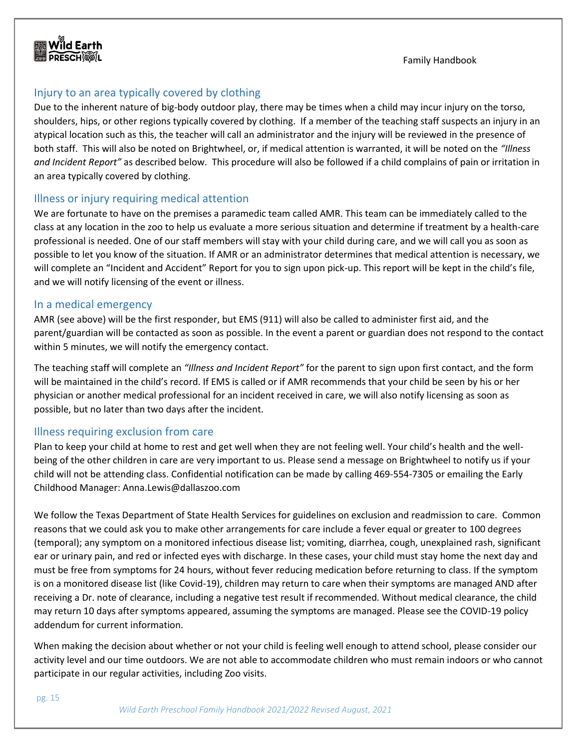

#### <span id="page-15-0"></span>Injury to an area typically covered by clothing

Due to the inherent nature of big-body outdoor play, there may be times when a child may incur injury on the torso, shoulders, hips, or other regions typically covered by clothing. If a member of the teaching staff suspects an injury in an atypical location such as this, the teacher will call an administrator and the injury will be reviewed in the presence of both staff. This will also be noted on Brightwheel, or, if medical attention is warranted, it will be noted on the *"Illness and Incident Report"* as described below. This procedure will also be followed if a child complains of pain or irritation in an area typically covered by clothing.

#### <span id="page-15-1"></span>Illness or injury requiring medical attention

We are fortunate to have on the premises a paramedic team called AMR. This team can be immediately called to the class at any location in the zoo to help us evaluate a more serious situation and determine if treatment by a health-care professional is needed. One of our staff members will stay with your child during care, and we will call you as soon as possible to let you know of the situation. If AMR or an administrator determines that medical attention is necessary, we will complete an "Incident and Accident" Report for you to sign upon pick-up. This report will be kept in the child's file, and we will notify licensing of the event or illness.

#### <span id="page-15-2"></span>In a medical emergency

AMR (see above) will be the first responder, but EMS (911) will also be called to administer first aid, and the parent/guardian will be contacted as soon as possible. In the event a parent or guardian does not respond to the contact within 5 minutes, we will notify the emergency contact.

The teaching staff will complete an *"Illness and Incident Report"* for the parent to sign upon first contact, and the form will be maintained in the child's record. If EMS is called or if AMR recommends that your child be seen by his or her physician or another medical professional for an incident received in care, we will also notify licensing as soon as possible, but no later than two days after the incident.

#### <span id="page-15-3"></span>Illness requiring exclusion from care

Plan to keep your child at home to rest and get well when they are not feeling well. Your child's health and the wellbeing of the other children in care are very important to us. Please send a message on Brightwheel to notify us if your child will not be attending class. Confidential notification can be made by calling 469-554-7305 or emailing the Early Childhood Manager: Anna.Lewis@dallaszoo.com

We follow the Texas Department of State Health Services for guidelines on exclusion and readmission to care. Common reasons that we could ask you to make other arrangements for care include a fever equal or greater to 100 degrees (temporal); any symptom on a monitored infectious disease list; vomiting, diarrhea, cough, unexplained rash, significant ear or urinary pain, and red or infected eyes with discharge. In these cases, your child must stay home the next day and must be free from symptoms for 24 hours, without fever reducing medication before returning to class. If the symptom is on a monitored disease list (like Covid-19), children may return to care when their symptoms are managed AND after receiving a Dr. note of clearance, including a negative test result if recommended. Without medical clearance, the child may return 10 days after symptoms appeared, assuming the symptoms are managed. Please see the COVID-19 policy addendum for current information.

When making the decision about whether or not your child is feeling well enough to attend school, please consider our activity level and our time outdoors. We are not able to accommodate children who must remain indoors or who cannot participate in our regular activities, including Zoo visits.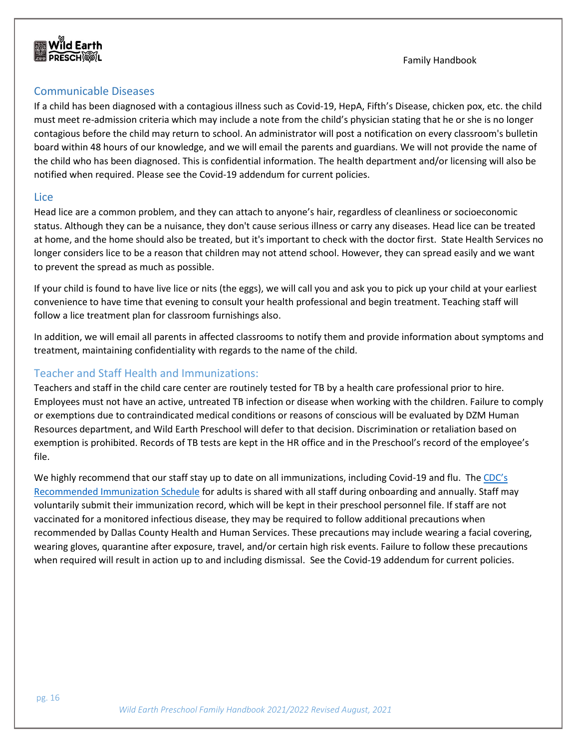

#### <span id="page-16-0"></span>Communicable Diseases

If a child has been diagnosed with a contagious illness such as Covid-19, HepA, Fifth's Disease, chicken pox, etc. the child must meet re-admission criteria which may include a note from the child's physician stating that he or she is no longer contagious before the child may return to school. An administrator will post a notification on every classroom's bulletin board within 48 hours of our knowledge, and we will email the parents and guardians. We will not provide the name of the child who has been diagnosed. This is confidential information. The health department and/or licensing will also be notified when required. Please see the Covid-19 addendum for current policies.

#### <span id="page-16-1"></span>Lice

Head lice are a common problem, and they can attach to anyone's hair, regardless of cleanliness or socioeconomic status. Although they can be a nuisance, they don't cause serious illness or carry any diseases. Head lice can be treated at home, and the home should also be treated, but it's important to check with the doctor first. State Health Services no longer considers lice to be a reason that children may not attend school. However, they can spread easily and we want to prevent the spread as much as possible.

If your child is found to have live lice or nits (the eggs), we will call you and ask you to pick up your child at your earliest convenience to have time that evening to consult your health professional and begin treatment. Teaching staff will follow a lice treatment plan for classroom furnishings also.

In addition, we will email all parents in affected classrooms to notify them and provide information about symptoms and treatment, maintaining confidentiality with regards to the name of the child.

#### <span id="page-16-2"></span>Teacher and Staff Health and Immunizations:

Teachers and staff in the child care center are routinely tested for TB by a health care professional prior to hire. Employees must not have an active, untreated TB infection or disease when working with the children. Failure to comply or exemptions due to contraindicated medical conditions or reasons of conscious will be evaluated by DZM Human Resources department, and Wild Earth Preschool will defer to that decision. Discrimination or retaliation based on exemption is prohibited. Records of TB tests are kept in the HR office and in the Preschool's record of the employee's file.

We highly recommend that our staff stay up to date on all immunizations, including Covid-19 and flu. The CDC's [Recommended Immunization Schedule](https://www.cdc.gov/vaccines/schedules/downloads/adult/adult-combined-schedule.pdf) for adults is shared with all staff during onboarding and annually. Staff may voluntarily submit their immunization record, which will be kept in their preschool personnel file. If staff are not vaccinated for a monitored infectious disease, they may be required to follow additional precautions when recommended by Dallas County Health and Human Services. These precautions may include wearing a facial covering, wearing gloves, quarantine after exposure, travel, and/or certain high risk events. Failure to follow these precautions when required will result in action up to and including dismissal. See the Covid-19 addendum for current policies.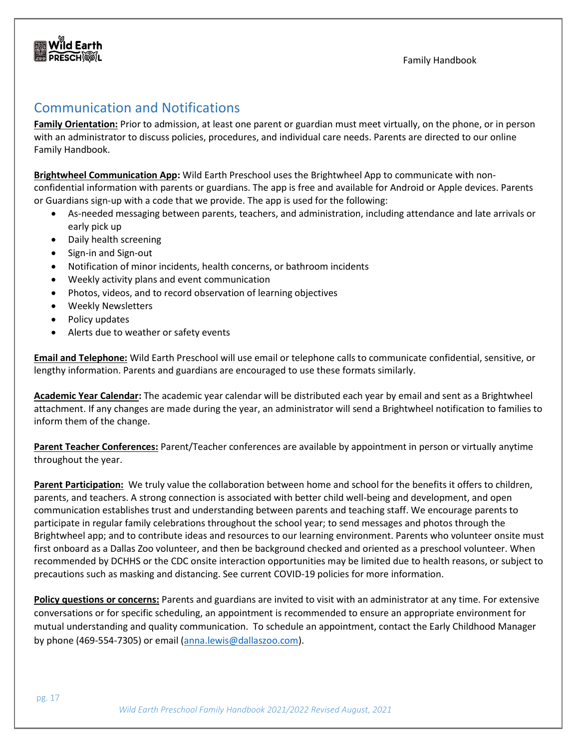# <span id="page-17-0"></span>Communication and Notifications

**Family Orientation:** Prior to admission, at least one parent or guardian must meet virtually, on the phone, or in person with an administrator to discuss policies, procedures, and individual care needs. Parents are directed to our online Family Handbook.

Family Handbook

**Brightwheel Communication App:** Wild Earth Preschool uses the Brightwheel App to communicate with nonconfidential information with parents or guardians. The app is free and available for Android or Apple devices. Parents or Guardians sign-up with a code that we provide. The app is used for the following:

- As-needed messaging between parents, teachers, and administration, including attendance and late arrivals or early pick up
- Daily health screening
- Sign-in and Sign-out
- Notification of minor incidents, health concerns, or bathroom incidents
- Weekly activity plans and event communication
- Photos, videos, and to record observation of learning objectives
- Weekly Newsletters
- Policy updates
- Alerts due to weather or safety events

**Email and Telephone:** Wild Earth Preschool will use email or telephone calls to communicate confidential, sensitive, or lengthy information. Parents and guardians are encouraged to use these formats similarly.

**Academic Year Calendar:** The academic year calendar will be distributed each year by email and sent as a Brightwheel attachment. If any changes are made during the year, an administrator will send a Brightwheel notification to families to inform them of the change.

**Parent Teacher Conferences:** Parent/Teacher conferences are available by appointment in person or virtually anytime throughout the year.

**Parent Participation:** We truly value the collaboration between home and school for the benefits it offers to children, parents, and teachers. A strong connection is associated with better child well-being and development, and open communication establishes trust and understanding between parents and teaching staff. We encourage parents to participate in regular family celebrations throughout the school year; to send messages and photos through the Brightwheel app; and to contribute ideas and resources to our learning environment. Parents who volunteer onsite must first onboard as a Dallas Zoo volunteer, and then be background checked and oriented as a preschool volunteer. When recommended by DCHHS or the CDC onsite interaction opportunities may be limited due to health reasons, or subject to precautions such as masking and distancing. See current COVID-19 policies for more information.

**Policy questions or concerns:** Parents and guardians are invited to visit with an administrator at any time. For extensive conversations or for specific scheduling, an appointment is recommended to ensure an appropriate environment for mutual understanding and quality communication. To schedule an appointment, contact the Early Childhood Manager by phone (469-554-7305) or email [\(anna.lewis@dallaszoo.com\)](mailto:anna.lewis@dallaszoo.com).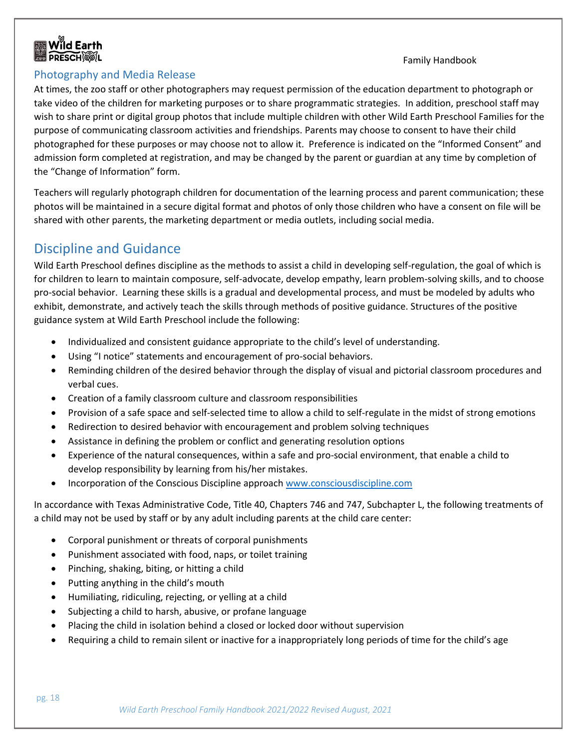

#### <span id="page-18-0"></span>Photography and Media Release

At times, the zoo staff or other photographers may request permission of the education department to photograph or take video of the children for marketing purposes or to share programmatic strategies. In addition, preschool staff may wish to share print or digital group photos that include multiple children with other Wild Earth Preschool Families for the purpose of communicating classroom activities and friendships. Parents may choose to consent to have their child photographed for these purposes or may choose not to allow it. Preference is indicated on the "Informed Consent" and admission form completed at registration, and may be changed by the parent or guardian at any time by completion of the "Change of Information" form.

Teachers will regularly photograph children for documentation of the learning process and parent communication; these photos will be maintained in a secure digital format and photos of only those children who have a consent on file will be shared with other parents, the marketing department or media outlets, including social media.

# <span id="page-18-1"></span>Discipline and Guidance

Wild Earth Preschool defines discipline as the methods to assist a child in developing self-regulation, the goal of which is for children to learn to maintain composure, self-advocate, develop empathy, learn problem-solving skills, and to choose pro-social behavior. Learning these skills is a gradual and developmental process, and must be modeled by adults who exhibit, demonstrate, and actively teach the skills through methods of positive guidance. Structures of the positive guidance system at Wild Earth Preschool include the following:

- Individualized and consistent guidance appropriate to the child's level of understanding.
- Using "I notice" statements and encouragement of pro-social behaviors.
- Reminding children of the desired behavior through the display of visual and pictorial classroom procedures and verbal cues.
- Creation of a family classroom culture and classroom responsibilities
- Provision of a safe space and self-selected time to allow a child to self-regulate in the midst of strong emotions
- Redirection to desired behavior with encouragement and problem solving techniques
- Assistance in defining the problem or conflict and generating resolution options
- Experience of the natural consequences, within a safe and pro-social environment, that enable a child to develop responsibility by learning from his/her mistakes.
- Incorporation of the Conscious Discipline approach [www.consciousdiscipline.com](http://www.consciousdiscipline.com/)

In accordance with Texas Administrative Code, Title 40, Chapters 746 and 747, Subchapter L, the following treatments of a child may not be used by staff or by any adult including parents at the child care center:

- Corporal punishment or threats of corporal punishments
- Punishment associated with food, naps, or toilet training
- Pinching, shaking, biting, or hitting a child
- Putting anything in the child's mouth
- Humiliating, ridiculing, rejecting, or yelling at a child
- Subjecting a child to harsh, abusive, or profane language
- Placing the child in isolation behind a closed or locked door without supervision
- Requiring a child to remain silent or inactive for a inappropriately long periods of time for the child's age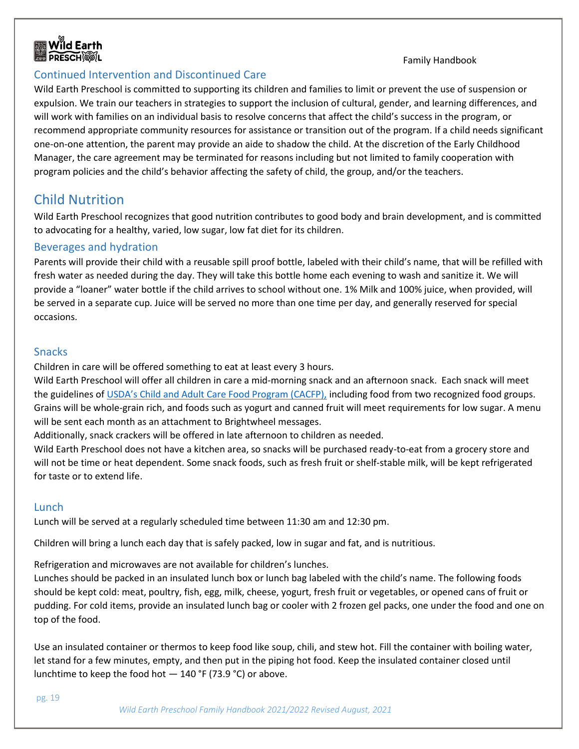#### <span id="page-19-0"></span>Continued Intervention and Discontinued Care

Wild Earth Preschool is committed to supporting its children and families to limit or prevent the use of suspension or expulsion. We train our teachers in strategies to support the inclusion of cultural, gender, and learning differences, and will work with families on an individual basis to resolve concerns that affect the child's success in the program, or recommend appropriate community resources for assistance or transition out of the program. If a child needs significant one-on-one attention, the parent may provide an aide to shadow the child. At the discretion of the Early Childhood Manager, the care agreement may be terminated for reasons including but not limited to family cooperation with program policies and the child's behavior affecting the safety of child, the group, and/or the teachers.

# <span id="page-19-1"></span>Child Nutrition

Wild Earth Preschool recognizes that good nutrition contributes to good body and brain development, and is committed to advocating for a healthy, varied, low sugar, low fat diet for its children.

#### <span id="page-19-2"></span>Beverages and hydration

Parents will provide their child with a reusable spill proof bottle, labeled with their child's name, that will be refilled with fresh water as needed during the day. They will take this bottle home each evening to wash and sanitize it. We will provide a "loaner" water bottle if the child arrives to school without one. 1% Milk and 100% juice, when provided, will be served in a separate cup. Juice will be served no more than one time per day, and generally reserved for special occasions.

#### <span id="page-19-3"></span>Snacks

Children in care will be offered something to eat at least every 3 hours.

Wild Earth Preschool will offer all children in care a mid-morning snack and an afternoon snack. Each snack will meet the guidelines of [USDA's Child and Adult Care Food Program \(CACFP\),](https://www.fns.usda.gov/cacfp/meals-and-snacks) including food from two recognized food groups. Grains will be whole-grain rich, and foods such as yogurt and canned fruit will meet requirements for low sugar. A menu will be sent each month as an attachment to Brightwheel messages.

Additionally, snack crackers will be offered in late afternoon to children as needed.

Wild Earth Preschool does not have a kitchen area, so snacks will be purchased ready-to-eat from a grocery store and will not be time or heat dependent. Some snack foods, such as fresh fruit or shelf-stable milk, will be kept refrigerated for taste or to extend life.

#### <span id="page-19-4"></span>Lunch

Lunch will be served at a regularly scheduled time between 11:30 am and 12:30 pm.

Children will bring a lunch each day that is safely packed, low in sugar and fat, and is nutritious.

Refrigeration and microwaves are not available for children's lunches.

Lunches should be packed in an insulated lunch box or lunch bag labeled with the child's name. The following foods should be kept cold: meat, poultry, fish, egg, milk, cheese, yogurt, fresh fruit or vegetables, or opened cans of fruit or pudding. For cold items, provide an insulated lunch bag or cooler with 2 frozen gel packs, one under the food and one on top of the food.

Use an insulated container or thermos to keep food like soup, chili, and stew hot. Fill the container with boiling water, let stand for a few minutes, empty, and then put in the piping hot food. Keep the insulated container closed until lunchtime to keep the food hot  $-$  140 °F (73.9 °C) or above.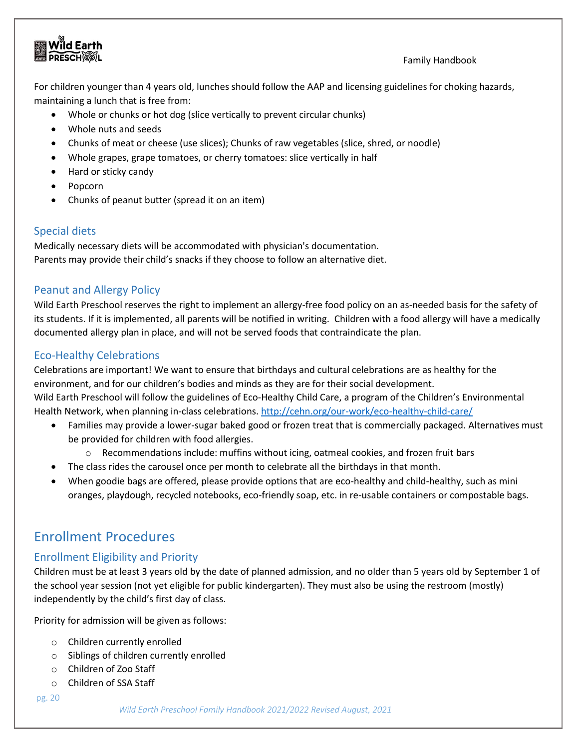For children younger than 4 years old, lunches should follow the AAP and licensing guidelines for choking hazards, maintaining a lunch that is free from:

- Whole or chunks or hot dog (slice vertically to prevent circular chunks)
- Whole nuts and seeds
- Chunks of meat or cheese (use slices); Chunks of raw vegetables (slice, shred, or noodle)
- Whole grapes, grape tomatoes, or cherry tomatoes: slice vertically in half
- Hard or sticky candy
- Popcorn
- Chunks of peanut butter (spread it on an item)

#### <span id="page-20-0"></span>Special diets

Medically necessary diets will be accommodated with physician's documentation. Parents may provide their child's snacks if they choose to follow an alternative diet.

#### <span id="page-20-1"></span>Peanut and Allergy Policy

Wild Earth Preschool reserves the right to implement an allergy-free food policy on an as-needed basis for the safety of its students. If it is implemented, all parents will be notified in writing. Children with a food allergy will have a medically documented allergy plan in place, and will not be served foods that contraindicate the plan.

#### <span id="page-20-2"></span>Eco-Healthy Celebrations

Celebrations are important! We want to ensure that birthdays and cultural celebrations are as healthy for the environment, and for our children's bodies and minds as they are for their social development. Wild Earth Preschool will follow the guidelines of Eco-Healthy Child Care, a program of the Children's Environmental Health Network, when planning in-class celebrations.<http://cehn.org/our-work/eco-healthy-child-care/>

- Families may provide a lower-sugar baked good or frozen treat that is commercially packaged. Alternatives must be provided for children with food allergies.
	- $\circ$  Recommendations include: muffins without icing, oatmeal cookies, and frozen fruit bars
- The class rides the carousel once per month to celebrate all the birthdays in that month.
- When goodie bags are offered, please provide options that are eco-healthy and child-healthy, such as mini oranges, playdough, recycled notebooks, eco-friendly soap, etc. in re-usable containers or compostable bags.

# <span id="page-20-3"></span>Enrollment Procedures

### <span id="page-20-4"></span>Enrollment Eligibility and Priority

Children must be at least 3 years old by the date of planned admission, and no older than 5 years old by September 1 of the school year session (not yet eligible for public kindergarten). They must also be using the restroom (mostly) independently by the child's first day of class.

Priority for admission will be given as follows:

- o Children currently enrolled
- o Siblings of children currently enrolled
- o Children of Zoo Staff
- o Children of SSA Staff

pg. 20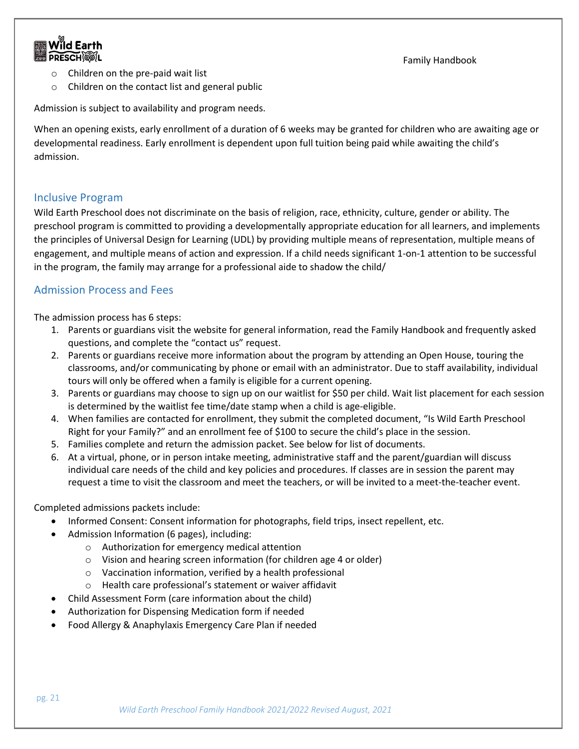

- o Children on the pre-paid wait list
- o Children on the contact list and general public

Admission is subject to availability and program needs.

When an opening exists, early enrollment of a duration of 6 weeks may be granted for children who are awaiting age or developmental readiness. Early enrollment is dependent upon full tuition being paid while awaiting the child's admission.

#### <span id="page-21-0"></span>Inclusive Program

Wild Earth Preschool does not discriminate on the basis of religion, race, ethnicity, culture, gender or ability. The preschool program is committed to providing a developmentally appropriate education for all learners, and implements the principles of Universal Design for Learning (UDL) by providing multiple means of representation, multiple means of engagement, and multiple means of action and expression. If a child needs significant 1-on-1 attention to be successful in the program, the family may arrange for a professional aide to shadow the child/

#### <span id="page-21-1"></span>Admission Process and Fees

The admission process has 6 steps:

- 1. Parents or guardians visit the website for general information, read the Family Handbook and frequently asked questions, and complete the "contact us" request.
- 2. Parents or guardians receive more information about the program by attending an Open House, touring the classrooms, and/or communicating by phone or email with an administrator. Due to staff availability, individual tours will only be offered when a family is eligible for a current opening.
- 3. Parents or guardians may choose to sign up on our waitlist for \$50 per child. Wait list placement for each session is determined by the waitlist fee time/date stamp when a child is age-eligible.
- 4. When families are contacted for enrollment, they submit the completed document, "Is Wild Earth Preschool Right for your Family?" and an enrollment fee of \$100 to secure the child's place in the session.
- 5. Families complete and return the admission packet. See below for list of documents.
- 6. At a virtual, phone, or in person intake meeting, administrative staff and the parent/guardian will discuss individual care needs of the child and key policies and procedures. If classes are in session the parent may request a time to visit the classroom and meet the teachers, or will be invited to a meet-the-teacher event.

Completed admissions packets include:

- Informed Consent: Consent information for photographs, field trips, insect repellent, etc.
- Admission Information (6 pages), including:
	- o Authorization for emergency medical attention
	- o Vision and hearing screen information (for children age 4 or older)
	- o Vaccination information, verified by a health professional
	- o Health care professional's statement or waiver affidavit
- Child Assessment Form (care information about the child)
- Authorization for Dispensing Medication form if needed
- Food Allergy & Anaphylaxis Emergency Care Plan if needed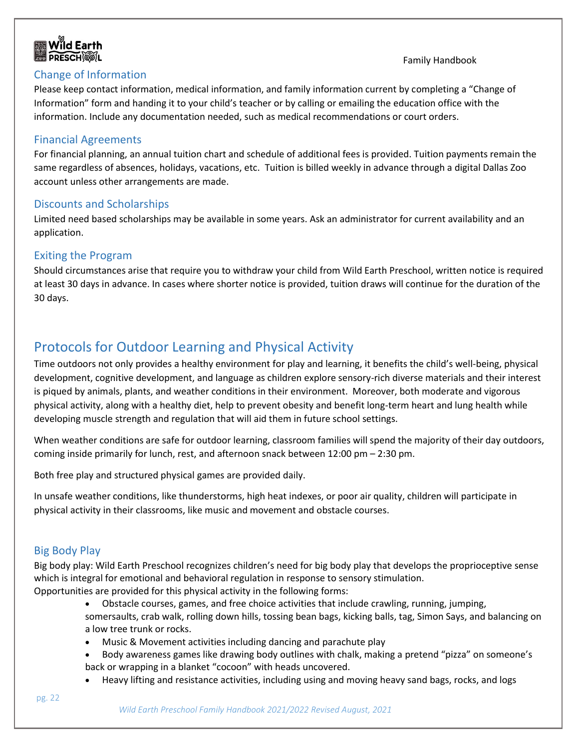

#### <span id="page-22-0"></span>Change of Information

Family Handbook

Please keep contact information, medical information, and family information current by completing a "Change of Information" form and handing it to your child's teacher or by calling or emailing the education office with the information. Include any documentation needed, such as medical recommendations or court orders.

#### <span id="page-22-1"></span>Financial Agreements

For financial planning, an annual tuition chart and schedule of additional fees is provided. Tuition payments remain the same regardless of absences, holidays, vacations, etc. Tuition is billed weekly in advance through a digital Dallas Zoo account unless other arrangements are made.

#### <span id="page-22-2"></span>Discounts and Scholarships

Limited need based scholarships may be available in some years. Ask an administrator for current availability and an application.

#### <span id="page-22-3"></span>Exiting the Program

Should circumstances arise that require you to withdraw your child from Wild Earth Preschool, written notice is required at least 30 days in advance. In cases where shorter notice is provided, tuition draws will continue for the duration of the 30 days.

# <span id="page-22-4"></span>Protocols for Outdoor Learning and Physical Activity

Time outdoors not only provides a healthy environment for play and learning, it benefits the child's well-being, physical development, cognitive development, and language as children explore sensory-rich diverse materials and their interest is piqued by animals, plants, and weather conditions in their environment. Moreover, both moderate and vigorous physical activity, along with a healthy diet, help to prevent obesity and benefit long-term heart and lung health while developing muscle strength and regulation that will aid them in future school settings.

When weather conditions are safe for outdoor learning, classroom families will spend the majority of their day outdoors, coming inside primarily for lunch, rest, and afternoon snack between 12:00 pm – 2:30 pm.

Both free play and structured physical games are provided daily.

In unsafe weather conditions, like thunderstorms, high heat indexes, or poor air quality, children will participate in physical activity in their classrooms, like music and movement and obstacle courses.

#### <span id="page-22-5"></span>Big Body Play

Big body play: Wild Earth Preschool recognizes children's need for big body play that develops the proprioceptive sense which is integral for emotional and behavioral regulation in response to sensory stimulation.

Opportunities are provided for this physical activity in the following forms:

- Obstacle courses, games, and free choice activities that include crawling, running, jumping, somersaults, crab walk, rolling down hills, tossing bean bags, kicking balls, tag, Simon Says, and balancing on a low tree trunk or rocks.
- Music & Movement activities including dancing and parachute play
- Body awareness games like drawing body outlines with chalk, making a pretend "pizza" on someone's back or wrapping in a blanket "cocoon" with heads uncovered.
- Heavy lifting and resistance activities, including using and moving heavy sand bags, rocks, and logs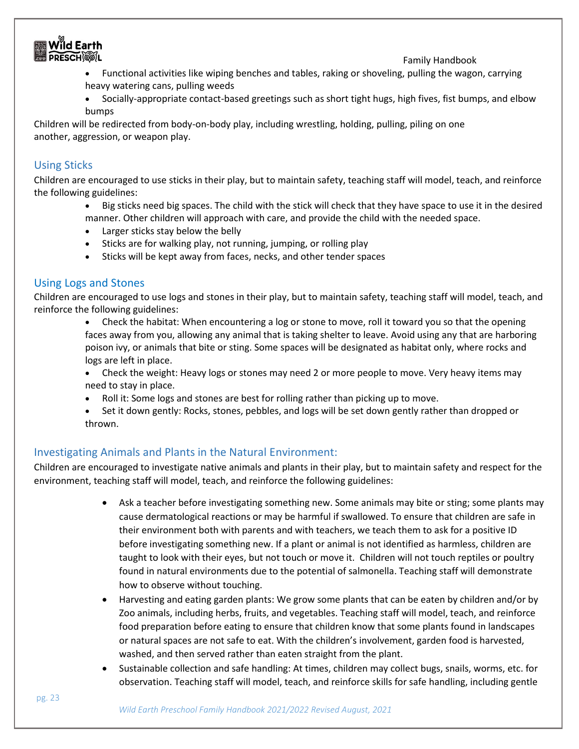

- Functional activities like wiping benches and tables, raking or shoveling, pulling the wagon, carrying heavy watering cans, pulling weeds
- Socially-appropriate contact-based greetings such as short tight hugs, high fives, fist bumps, and elbow bumps

Children will be redirected from body-on-body play, including wrestling, holding, pulling, piling on one another, aggression, or weapon play.

#### <span id="page-23-0"></span>Using Sticks

Children are encouraged to use sticks in their play, but to maintain safety, teaching staff will model, teach, and reinforce the following guidelines:

- Big sticks need big spaces. The child with the stick will check that they have space to use it in the desired manner. Other children will approach with care, and provide the child with the needed space.
- Larger sticks stay below the belly
- Sticks are for walking play, not running, jumping, or rolling play
- Sticks will be kept away from faces, necks, and other tender spaces

#### <span id="page-23-1"></span>Using Logs and Stones

Children are encouraged to use logs and stones in their play, but to maintain safety, teaching staff will model, teach, and reinforce the following guidelines:

- Check the habitat: When encountering a log or stone to move, roll it toward you so that the opening faces away from you, allowing any animal that is taking shelter to leave. Avoid using any that are harboring poison ivy, or animals that bite or sting. Some spaces will be designated as habitat only, where rocks and logs are left in place.
- Check the weight: Heavy logs or stones may need 2 or more people to move. Very heavy items may need to stay in place.
- Roll it: Some logs and stones are best for rolling rather than picking up to move.
- Set it down gently: Rocks, stones, pebbles, and logs will be set down gently rather than dropped or thrown.

#### <span id="page-23-2"></span>Investigating Animals and Plants in the Natural Environment:

Children are encouraged to investigate native animals and plants in their play, but to maintain safety and respect for the environment, teaching staff will model, teach, and reinforce the following guidelines:

- Ask a teacher before investigating something new. Some animals may bite or sting; some plants may cause dermatological reactions or may be harmful if swallowed. To ensure that children are safe in their environment both with parents and with teachers, we teach them to ask for a positive ID before investigating something new. If a plant or animal is not identified as harmless, children are taught to look with their eyes, but not touch or move it. Children will not touch reptiles or poultry found in natural environments due to the potential of salmonella. Teaching staff will demonstrate how to observe without touching.
- Harvesting and eating garden plants: We grow some plants that can be eaten by children and/or by Zoo animals, including herbs, fruits, and vegetables. Teaching staff will model, teach, and reinforce food preparation before eating to ensure that children know that some plants found in landscapes or natural spaces are not safe to eat. With the children's involvement, garden food is harvested, washed, and then served rather than eaten straight from the plant.
- Sustainable collection and safe handling: At times, children may collect bugs, snails, worms, etc. for observation. Teaching staff will model, teach, and reinforce skills for safe handling, including gentle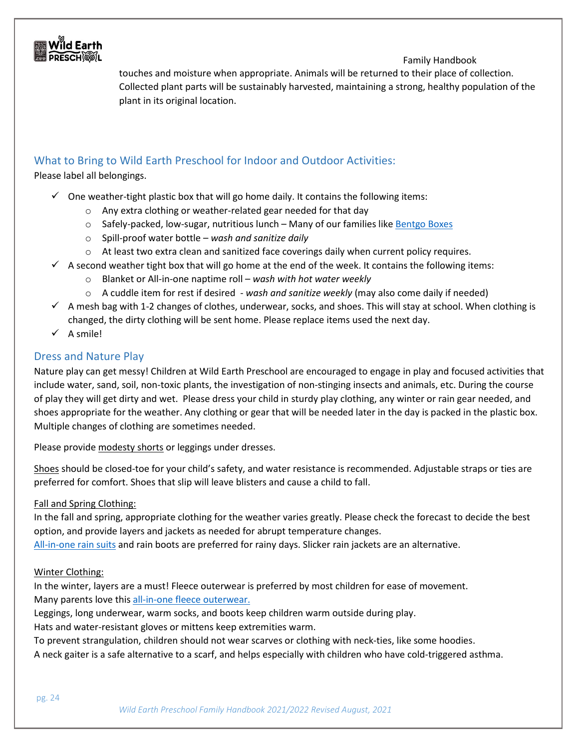

touches and moisture when appropriate. Animals will be returned to their place of collection. Collected plant parts will be sustainably harvested, maintaining a strong, healthy population of the plant in its original location.

#### <span id="page-24-0"></span>What to Bring to Wild Earth Preschool for Indoor and Outdoor Activities:

Please label all belongings.

- $\checkmark$  One weather-tight plastic box that will go home daily. It contains the following items:
	- o Any extra clothing or weather-related gear needed for that day
	- $\circ$  Safely-packed, low-sugar, nutritious lunch Many of our families like [Bentgo Boxes](https://bentgo.com/collections/lunch-boxes)
	- o Spill-proof water bottle *wash and sanitize daily*
	- $\circ$  At least two extra clean and sanitized face coverings daily when current policy requires.
- $\checkmark$  A second weather tight box that will go home at the end of the week. It contains the following items:
	- o Blanket or All-in-one naptime roll *wash with hot water weekly*
	- o A cuddle item for rest if desired *wash and sanitize weekly* (may also come daily if needed)
- $\checkmark$  A mesh bag with 1-2 changes of clothes, underwear, socks, and shoes. This will stay at school. When clothing is changed, the dirty clothing will be sent home. Please replace items used the next day.
- ✓ A smile!

#### <span id="page-24-1"></span>Dress and Nature Play

Nature play can get messy! Children at Wild Earth Preschool are encouraged to engage in play and focused activities that include water, sand, soil, non-toxic plants, the investigation of non-stinging insects and animals, etc. During the course of play they will get dirty and wet. Please dress your child in sturdy play clothing, any winter or rain gear needed, and shoes appropriate for the weather. Any clothing or gear that will be needed later in the day is packed in the plastic box. Multiple changes of clothing are sometimes needed.

Please provide modesty shorts or leggings under dresses.

Shoes should be closed-toe for your child's safety, and water resistance is recommended. Adjustable straps or ties are preferred for comfort. Shoes that slip will leave blisters and cause a child to fall.

#### Fall and Spring Clothing:

In the fall and spring, appropriate clothing for the weather varies greatly. Please check the forecast to decide the best option, and provide layers and jackets as needed for abrupt temperature changes.

[All-in-one rain suits](https://tuffo.com/muddy-buddy/) and rain boots are preferred for rainy days. Slicker rain jackets are an alternative.

#### Winter Clothing:

In the winter, layers are a must! Fleece outerwear is preferred by most children for ease of movement. Many parents love thi[s all-in-one fleece outerwear.](https://www.minimioche.com/products/the-biker-romper)

Leggings, long underwear, warm socks, and boots keep children warm outside during play.

Hats and water-resistant gloves or mittens keep extremities warm.

To prevent strangulation, children should not wear scarves or clothing with neck-ties, like some hoodies. A neck gaiter is a safe alternative to a scarf, and helps especially with children who have cold-triggered asthma.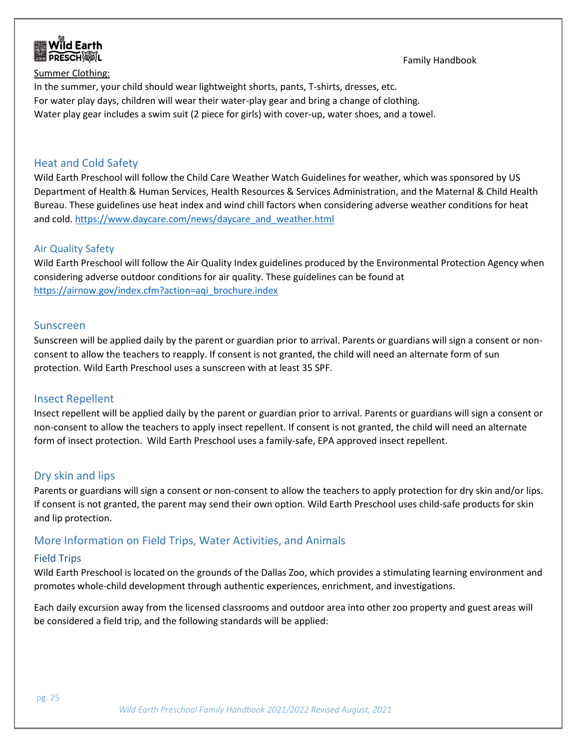

Summer Clothing: In the summer, your child should wear lightweight shorts, pants, T-shirts, dresses, etc. For water play days, children will wear their water-play gear and bring a change of clothing. Water play gear includes a swim suit (2 piece for girls) with cover-up, water shoes, and a towel.

#### <span id="page-25-0"></span>Heat and Cold Safety

Wild Earth Preschool will follow the Child Care Weather Watch Guidelines for weather, which was sponsored by US Department of Health & Human Services, Health Resources & Services Administration, and the Maternal & Child Health Bureau. These guidelines use heat index and wind chill factors when considering adverse weather conditions for heat and cold. [https://www.daycare.com/news/daycare\\_and\\_weather.html](https://www.daycare.com/news/daycare_and_weather.html)

#### <span id="page-25-1"></span>Air Quality Safety

Wild Earth Preschool will follow the Air Quality Index guidelines produced by the Environmental Protection Agency when considering adverse outdoor conditions for air quality. These guidelines can be found at [https://airnow.gov/index.cfm?action=aqi\\_brochure.index](https://airnow.gov/index.cfm?action=aqi_brochure.index)

#### <span id="page-25-2"></span>Sunscreen

Sunscreen will be applied daily by the parent or guardian prior to arrival. Parents or guardians will sign a consent or nonconsent to allow the teachers to reapply. If consent is not granted, the child will need an alternate form of sun protection. Wild Earth Preschool uses a sunscreen with at least 35 SPF.

#### <span id="page-25-3"></span>Insect Repellent

Insect repellent will be applied daily by the parent or guardian prior to arrival. Parents or guardians will sign a consent or non-consent to allow the teachers to apply insect repellent. If consent is not granted, the child will need an alternate form of insect protection. Wild Earth Preschool uses a family-safe, EPA approved insect repellent.

#### <span id="page-25-4"></span>Dry skin and lips

Parents or guardians will sign a consent or non-consent to allow the teachers to apply protection for dry skin and/or lips. If consent is not granted, the parent may send their own option. Wild Earth Preschool uses child-safe products for skin and lip protection.

#### <span id="page-25-5"></span>More Information on Field Trips, Water Activities, and Animals

#### <span id="page-25-6"></span>Field Trips

Wild Earth Preschool is located on the grounds of the Dallas Zoo, which provides a stimulating learning environment and promotes whole-child development through authentic experiences, enrichment, and investigations.

Each daily excursion away from the licensed classrooms and outdoor area into other zoo property and guest areas will be considered a field trip, and the following standards will be applied: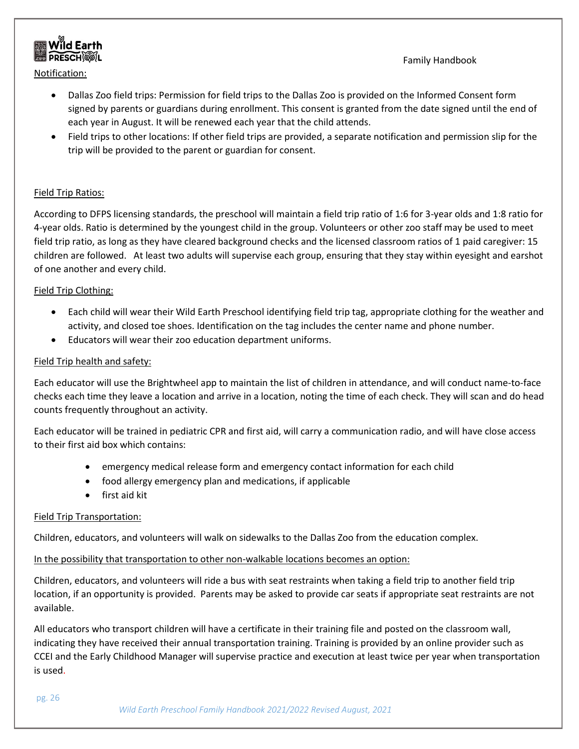

Notification:

- Dallas Zoo field trips: Permission for field trips to the Dallas Zoo is provided on the Informed Consent form signed by parents or guardians during enrollment. This consent is granted from the date signed until the end of each year in August. It will be renewed each year that the child attends.
- Field trips to other locations: If other field trips are provided, a separate notification and permission slip for the trip will be provided to the parent or guardian for consent.

#### Field Trip Ratios:

According to DFPS licensing standards, the preschool will maintain a field trip ratio of 1:6 for 3-year olds and 1:8 ratio for 4-year olds. Ratio is determined by the youngest child in the group. Volunteers or other zoo staff may be used to meet field trip ratio, as long as they have cleared background checks and the licensed classroom ratios of 1 paid caregiver: 15 children are followed. At least two adults will supervise each group, ensuring that they stay within eyesight and earshot of one another and every child.

#### Field Trip Clothing:

- Each child will wear their Wild Earth Preschool identifying field trip tag, appropriate clothing for the weather and activity, and closed toe shoes. Identification on the tag includes the center name and phone number.
- Educators will wear their zoo education department uniforms.

#### Field Trip health and safety:

Each educator will use the Brightwheel app to maintain the list of children in attendance, and will conduct name-to-face checks each time they leave a location and arrive in a location, noting the time of each check. They will scan and do head counts frequently throughout an activity.

Each educator will be trained in pediatric CPR and first aid, will carry a communication radio, and will have close access to their first aid box which contains:

- emergency medical release form and emergency contact information for each child
- food allergy emergency plan and medications, if applicable
- first aid kit

#### Field Trip Transportation:

Children, educators, and volunteers will walk on sidewalks to the Dallas Zoo from the education complex.

#### In the possibility that transportation to other non-walkable locations becomes an option:

Children, educators, and volunteers will ride a bus with seat restraints when taking a field trip to another field trip location, if an opportunity is provided. Parents may be asked to provide car seats if appropriate seat restraints are not available.

All educators who transport children will have a certificate in their training file and posted on the classroom wall, indicating they have received their annual transportation training. Training is provided by an online provider such as CCEI and the Early Childhood Manager will supervise practice and execution at least twice per year when transportation is used.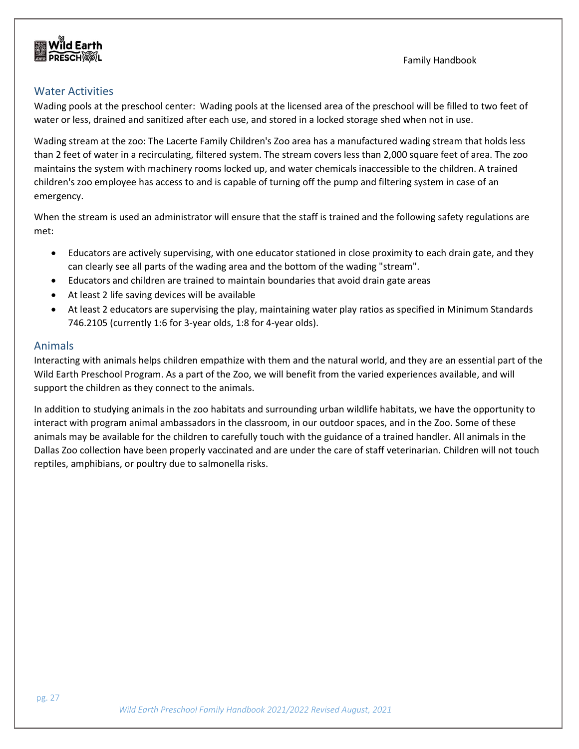### <span id="page-27-0"></span>Water Activities

Wading pools at the preschool center: Wading pools at the licensed area of the preschool will be filled to two feet of water or less, drained and sanitized after each use, and stored in a locked storage shed when not in use.

Wading stream at the zoo: The Lacerte Family Children's Zoo area has a manufactured wading stream that holds less than 2 feet of water in a recirculating, filtered system. The stream covers less than 2,000 square feet of area. The zoo maintains the system with machinery rooms locked up, and water chemicals inaccessible to the children. A trained children's zoo employee has access to and is capable of turning off the pump and filtering system in case of an emergency.

When the stream is used an administrator will ensure that the staff is trained and the following safety regulations are met:

- Educators are actively supervising, with one educator stationed in close proximity to each drain gate, and they can clearly see all parts of the wading area and the bottom of the wading "stream".
- Educators and children are trained to maintain boundaries that avoid drain gate areas
- At least 2 life saving devices will be available
- At least 2 educators are supervising the play, maintaining water play ratios as specified in Minimum Standards 746.2105 (currently 1:6 for 3-year olds, 1:8 for 4-year olds).

#### <span id="page-27-1"></span>Animals

Interacting with animals helps children empathize with them and the natural world, and they are an essential part of the Wild Earth Preschool Program. As a part of the Zoo, we will benefit from the varied experiences available, and will support the children as they connect to the animals.

In addition to studying animals in the zoo habitats and surrounding urban wildlife habitats, we have the opportunity to interact with program animal ambassadors in the classroom, in our outdoor spaces, and in the Zoo. Some of these animals may be available for the children to carefully touch with the guidance of a trained handler. All animals in the Dallas Zoo collection have been properly vaccinated and are under the care of staff veterinarian. Children will not touch reptiles, amphibians, or poultry due to salmonella risks.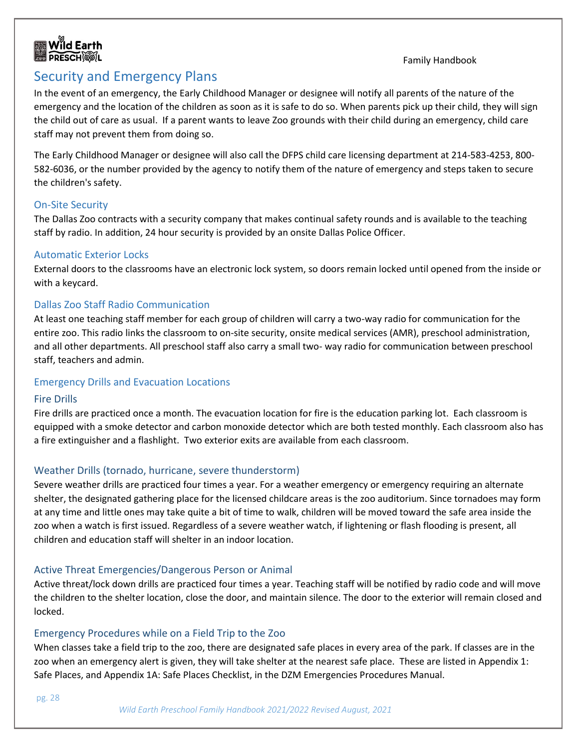



# <span id="page-28-0"></span>Security and Emergency Plans

In the event of an emergency, the Early Childhood Manager or designee will notify all parents of the nature of the emergency and the location of the children as soon as it is safe to do so. When parents pick up their child, they will sign the child out of care as usual. If a parent wants to leave Zoo grounds with their child during an emergency, child care staff may not prevent them from doing so.

The Early Childhood Manager or designee will also call the DFPS child care licensing department at 214-583-4253, 800- 582-6036, or the number provided by the agency to notify them of the nature of emergency and steps taken to secure the children's safety.

#### <span id="page-28-1"></span>On-Site Security

The Dallas Zoo contracts with a security company that makes continual safety rounds and is available to the teaching staff by radio. In addition, 24 hour security is provided by an onsite Dallas Police Officer.

#### <span id="page-28-2"></span>Automatic Exterior Locks

External doors to the classrooms have an electronic lock system, so doors remain locked until opened from the inside or with a keycard.

#### <span id="page-28-3"></span>Dallas Zoo Staff Radio Communication

At least one teaching staff member for each group of children will carry a two-way radio for communication for the entire zoo. This radio links the classroom to on-site security, onsite medical services (AMR), preschool administration, and all other departments. All preschool staff also carry a small two- way radio for communication between preschool staff, teachers and admin.

#### <span id="page-28-4"></span>Emergency Drills and Evacuation Locations

#### <span id="page-28-5"></span>Fire Drills

Fire drills are practiced once a month. The evacuation location for fire is the education parking lot. Each classroom is equipped with a smoke detector and carbon monoxide detector which are both tested monthly. Each classroom also has a fire extinguisher and a flashlight. Two exterior exits are available from each classroom.

#### <span id="page-28-6"></span>Weather Drills (tornado, hurricane, severe thunderstorm)

Severe weather drills are practiced four times a year. For a weather emergency or emergency requiring an alternate shelter, the designated gathering place for the licensed childcare areas is the zoo auditorium. Since tornadoes may form at any time and little ones may take quite a bit of time to walk, children will be moved toward the safe area inside the zoo when a watch is first issued. Regardless of a severe weather watch, if lightening or flash flooding is present, all children and education staff will shelter in an indoor location.

#### <span id="page-28-7"></span>Active Threat Emergencies/Dangerous Person or Animal

Active threat/lock down drills are practiced four times a year. Teaching staff will be notified by radio code and will move the children to the shelter location, close the door, and maintain silence. The door to the exterior will remain closed and locked.

#### <span id="page-28-8"></span>Emergency Procedures while on a Field Trip to the Zoo

When classes take a field trip to the zoo, there are designated safe places in every area of the park. If classes are in the zoo when an emergency alert is given, they will take shelter at the nearest safe place. These are listed in Appendix 1: Safe Places, and Appendix 1A: Safe Places Checklist, in the DZM Emergencies Procedures Manual.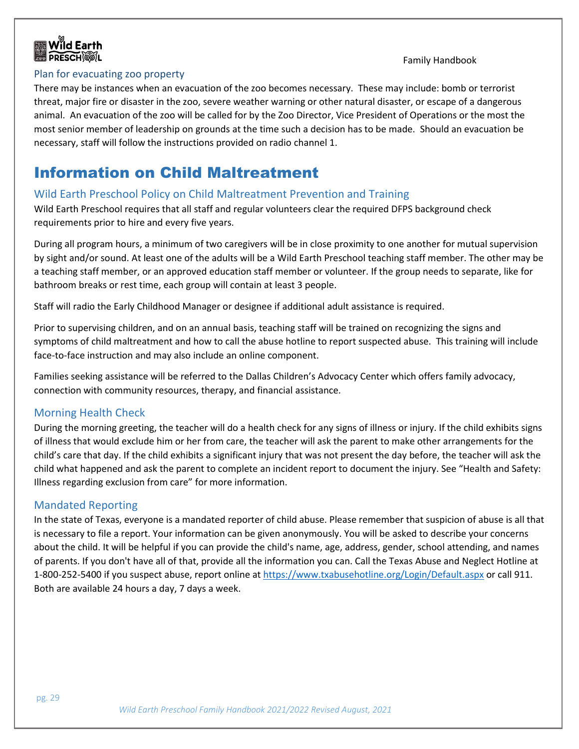



#### <span id="page-29-0"></span>Plan for evacuating zoo property

There may be instances when an evacuation of the zoo becomes necessary. These may include: bomb or terrorist threat, major fire or disaster in the zoo, severe weather warning or other natural disaster, or escape of a dangerous animal. An evacuation of the zoo will be called for by the Zoo Director, Vice President of Operations or the most the most senior member of leadership on grounds at the time such a decision has to be made. Should an evacuation be necessary, staff will follow the instructions provided on radio channel 1.

# <span id="page-29-1"></span>Information on Child Maltreatment

#### <span id="page-29-2"></span>Wild Earth Preschool Policy on Child Maltreatment Prevention and Training

Wild Earth Preschool requires that all staff and regular volunteers clear the required DFPS background check requirements prior to hire and every five years.

During all program hours, a minimum of two caregivers will be in close proximity to one another for mutual supervision by sight and/or sound. At least one of the adults will be a Wild Earth Preschool teaching staff member. The other may be a teaching staff member, or an approved education staff member or volunteer. If the group needs to separate, like for bathroom breaks or rest time, each group will contain at least 3 people.

Staff will radio the Early Childhood Manager or designee if additional adult assistance is required.

Prior to supervising children, and on an annual basis, teaching staff will be trained on recognizing the signs and symptoms of child maltreatment and how to call the abuse hotline to report suspected abuse. This training will include face-to-face instruction and may also include an online component.

Families seeking assistance will be referred to the Dallas Children's Advocacy Center which offers family advocacy, connection with community resources, therapy, and financial assistance.

#### <span id="page-29-3"></span>Morning Health Check

During the morning greeting, the teacher will do a health check for any signs of illness or injury. If the child exhibits signs of illness that would exclude him or her from care, the teacher will ask the parent to make other arrangements for the child's care that day. If the child exhibits a significant injury that was not present the day before, the teacher will ask the child what happened and ask the parent to complete an incident report to document the injury. See "Health and Safety: Illness regarding exclusion from care" for more information.

#### <span id="page-29-4"></span>Mandated Reporting

In the state of Texas, everyone is a mandated reporter of child abuse. Please remember that suspicion of abuse is all that is necessary to file a report. Your information can be given anonymously. You will be asked to describe your concerns about the child. It will be helpful if you can provide the child's name, age, address, gender, school attending, and names of parents. If you don't have all of that, provide all the information you can. Call the Texas Abuse and Neglect Hotline at 1-800-252-5400 if you suspect abuse, report online a[t https://www.txabusehotline.org/Login/Default.aspx](https://www.txabusehotline.org/Login/Default.aspx) or call 911. Both are available 24 hours a day, 7 days a week.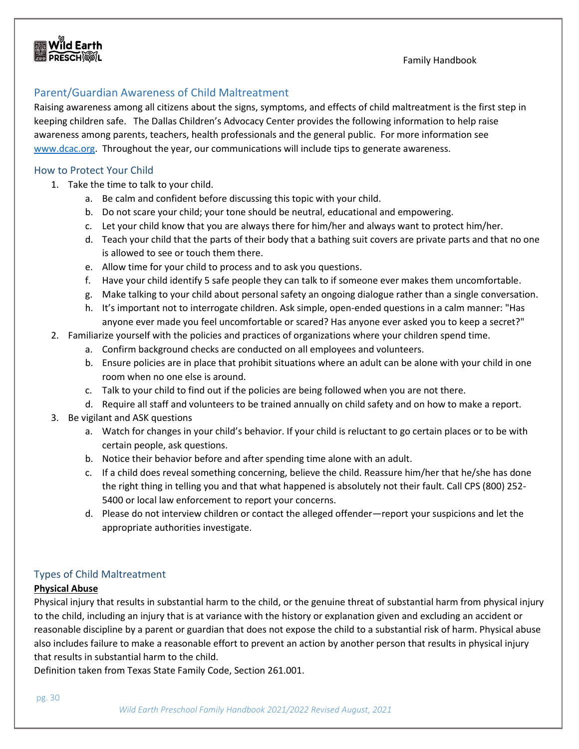# <span id="page-30-0"></span>Parent/Guardian Awareness of Child Maltreatment

Raising awareness among all citizens about the signs, symptoms, and effects of child maltreatment is the first step in keeping children safe. The Dallas Children's Advocacy Center provides the following information to help raise awareness among parents, teachers, health professionals and the general public. For more information see [www.dcac.org.](http://www.dcac.org/) Throughout the year, our communications will include tips to generate awareness.

#### <span id="page-30-1"></span>How to Protect Your Child

- 1. Take the time to talk to your child.
	- a. Be calm and confident before discussing this topic with your child.
	- b. Do not scare your child; your tone should be neutral, educational and empowering.
	- c. Let your child know that you are always there for him/her and always want to protect him/her.
	- d. Teach your child that the parts of their body that a bathing suit covers are private parts and that no one is allowed to see or touch them there.
	- e. Allow time for your child to process and to ask you questions.
	- f. Have your child identify 5 safe people they can talk to if someone ever makes them uncomfortable.
	- g. Make talking to your child about personal safety an ongoing dialogue rather than a single conversation.
	- h. It's important not to interrogate children. Ask simple, open-ended questions in a calm manner: "Has anyone ever made you feel uncomfortable or scared? Has anyone ever asked you to keep a secret?"
- 2. Familiarize yourself with the policies and practices of organizations where your children spend time.
	- a. Confirm background checks are conducted on all employees and volunteers.
	- b. Ensure policies are in place that prohibit situations where an adult can be alone with your child in one room when no one else is around.
	- c. Talk to your child to find out if the policies are being followed when you are not there.
	- d. Require all staff and volunteers to be trained annually on child safety and on how to make a report.
- 3. Be vigilant and ASK questions
	- a. Watch for changes in your child's behavior. If your child is reluctant to go certain places or to be with certain people, ask questions.
	- b. Notice their behavior before and after spending time alone with an adult.
	- c. If a child does reveal something concerning, believe the child. Reassure him/her that he/she has done the right thing in telling you and that what happened is absolutely not their fault. Call CPS (800) 252- 5400 or local law enforcement to report your concerns.
	- d. Please do not interview children or contact the alleged offender—report your suspicions and let the appropriate authorities investigate.

#### <span id="page-30-2"></span>Types of Child Maltreatment

#### **Physical Abuse**

Physical injury that results in substantial harm to the child, or the genuine threat of substantial harm from physical injury to the child, including an injury that is at variance with the history or explanation given and excluding an accident or reasonable discipline by a parent or guardian that does not expose the child to a substantial risk of harm. Physical abuse also includes failure to make a reasonable effort to prevent an action by another person that results in physical injury that results in substantial harm to the child.

Definition taken from Texas State Family Code, Section 261.001.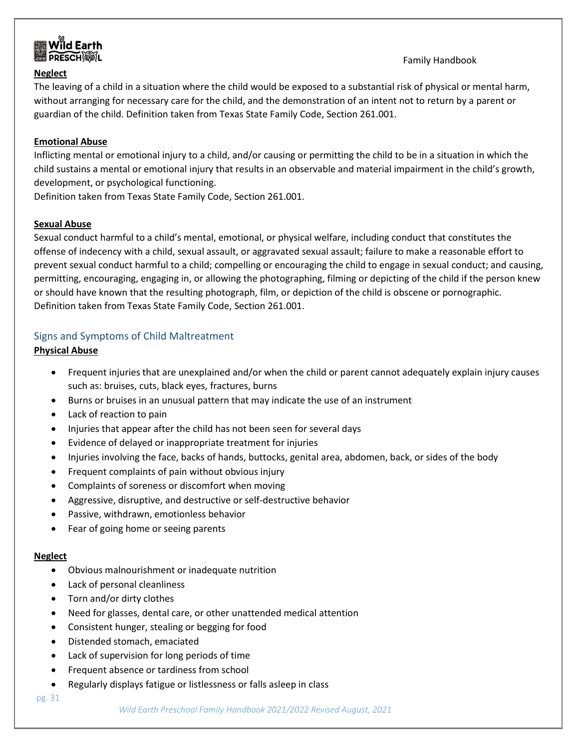

#### **Neglect**

#### Family Handbook

The leaving of a child in a situation where the child would be exposed to a substantial risk of physical or mental harm, without arranging for necessary care for the child, and the demonstration of an intent not to return by a parent or guardian of the child. Definition taken from Texas State Family Code, Section 261.001.

#### **Emotional Abuse**

Inflicting mental or emotional injury to a child, and/or causing or permitting the child to be in a situation in which the child sustains a mental or emotional injury that results in an observable and material impairment in the child's growth, development, or psychological functioning.

Definition taken from Texas State Family Code, Section 261.001.

#### **Sexual Abuse**

Sexual conduct harmful to a child's mental, emotional, or physical welfare, including conduct that constitutes the offense of indecency with a child, sexual assault, or aggravated sexual assault; failure to make a reasonable effort to prevent sexual conduct harmful to a child; compelling or encouraging the child to engage in sexual conduct; and causing, permitting, encouraging, engaging in, or allowing the photographing, filming or depicting of the child if the person knew or should have known that the resulting photograph, film, or depiction of the child is obscene or pornographic. Definition taken from Texas State Family Code, Section 261.001.

#### <span id="page-31-0"></span>Signs and Symptoms of Child Maltreatment

#### **Physical Abuse**

- Frequent injuries that are unexplained and/or when the child or parent cannot adequately explain injury causes such as: bruises, cuts, black eyes, fractures, burns
- Burns or bruises in an unusual pattern that may indicate the use of an instrument
- Lack of reaction to pain
- Injuries that appear after the child has not been seen for several days
- Evidence of delayed or inappropriate treatment for injuries
- Injuries involving the face, backs of hands, buttocks, genital area, abdomen, back, or sides of the body
- Frequent complaints of pain without obvious injury
- Complaints of soreness or discomfort when moving
- Aggressive, disruptive, and destructive or self-destructive behavior
- Passive, withdrawn, emotionless behavior
- Fear of going home or seeing parents

#### **Neglect**

- Obvious malnourishment or inadequate nutrition
- Lack of personal cleanliness
- Torn and/or dirty clothes
- Need for glasses, dental care, or other unattended medical attention
- Consistent hunger, stealing or begging for food
- Distended stomach, emaciated
- Lack of supervision for long periods of time
- Frequent absence or tardiness from school
- Regularly displays fatigue or listlessness or falls asleep in class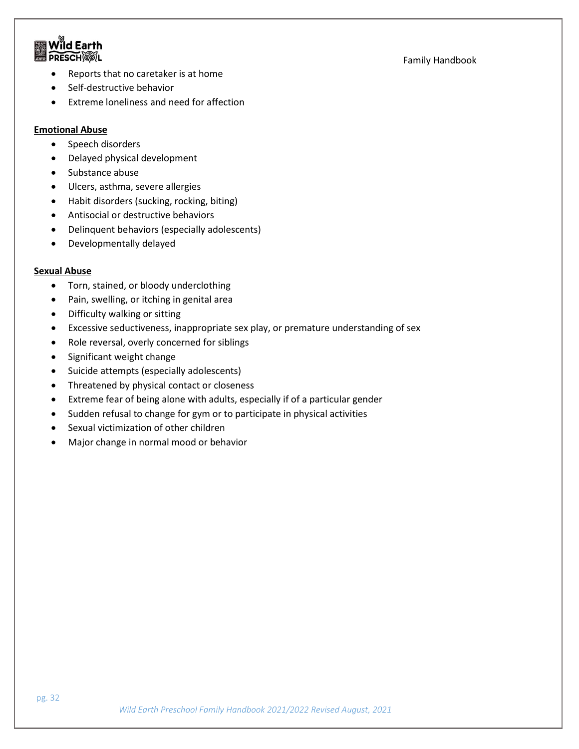### $\mathbf{\hat{M}}$ ld Earth **PRESCHOOL**

#### Family Handbook

- Reports that no caretaker is at home
- Self-destructive behavior
- Extreme loneliness and need for affection

#### **Emotional Abuse**

- Speech disorders
- Delayed physical development
- Substance abuse
- Ulcers, asthma, severe allergies
- Habit disorders (sucking, rocking, biting)
- Antisocial or destructive behaviors
- Delinquent behaviors (especially adolescents)
- Developmentally delayed

#### **Sexual Abuse**

- Torn, stained, or bloody underclothing
- Pain, swelling, or itching in genital area
- Difficulty walking or sitting
- Excessive seductiveness, inappropriate sex play, or premature understanding of sex
- Role reversal, overly concerned for siblings
- Significant weight change
- Suicide attempts (especially adolescents)
- Threatened by physical contact or closeness
- Extreme fear of being alone with adults, especially if of a particular gender
- Sudden refusal to change for gym or to participate in physical activities
- Sexual victimization of other children
- Major change in normal mood or behavior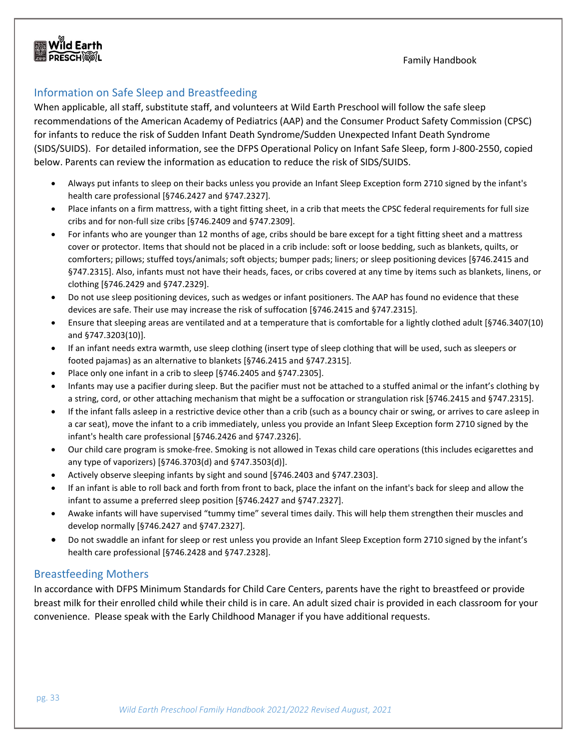# <span id="page-33-0"></span>Information on Safe Sleep and Breastfeeding

When applicable, all staff, substitute staff, and volunteers at Wild Earth Preschool will follow the safe sleep recommendations of the American Academy of Pediatrics (AAP) and the Consumer Product Safety Commission (CPSC) for infants to reduce the risk of Sudden Infant Death Syndrome/Sudden Unexpected Infant Death Syndrome (SIDS/SUIDS). For detailed information, see the DFPS Operational Policy on Infant Safe Sleep, form J-800-2550, copied below. Parents can review the information as education to reduce the risk of SIDS/SUIDS.

- Always put infants to sleep on their backs unless you provide an Infant Sleep Exception form 2710 signed by the infant's health care professional [§746.2427 and §747.2327].
- Place infants on a firm mattress, with a tight fitting sheet, in a crib that meets the CPSC federal requirements for full size cribs and for non-full size cribs [§746.2409 and §747.2309].
- For infants who are younger than 12 months of age, cribs should be bare except for a tight fitting sheet and a mattress cover or protector. Items that should not be placed in a crib include: soft or loose bedding, such as blankets, quilts, or comforters; pillows; stuffed toys/animals; soft objects; bumper pads; liners; or sleep positioning devices [§746.2415 and §747.2315]. Also, infants must not have their heads, faces, or cribs covered at any time by items such as blankets, linens, or clothing [§746.2429 and §747.2329].
- Do not use sleep positioning devices, such as wedges or infant positioners. The AAP has found no evidence that these devices are safe. Their use may increase the risk of suffocation [§746.2415 and §747.2315].
- Ensure that sleeping areas are ventilated and at a temperature that is comfortable for a lightly clothed adult [§746.3407(10) and §747.3203(10)].
- If an infant needs extra warmth, use sleep clothing (insert type of sleep clothing that will be used, such as sleepers or footed pajamas) as an alternative to blankets [§746.2415 and §747.2315].
- Place only one infant in a crib to sleep [§746.2405 and §747.2305].
- Infants may use a pacifier during sleep. But the pacifier must not be attached to a stuffed animal or the infant's clothing by a string, cord, or other attaching mechanism that might be a suffocation or strangulation risk [§746.2415 and §747.2315].
- If the infant falls asleep in a restrictive device other than a crib (such as a bouncy chair or swing, or arrives to care asleep in a car seat), move the infant to a crib immediately, unless you provide an Infant Sleep Exception form 2710 signed by the infant's health care professional [§746.2426 and §747.2326].
- Our child care program is smoke-free. Smoking is not allowed in Texas child care operations (this includes ecigarettes and any type of vaporizers) [§746.3703(d) and §747.3503(d)].
- Actively observe sleeping infants by sight and sound [§746.2403 and §747.2303].
- If an infant is able to roll back and forth from front to back, place the infant on the infant's back for sleep and allow the infant to assume a preferred sleep position [§746.2427 and §747.2327].
- Awake infants will have supervised "tummy time" several times daily. This will help them strengthen their muscles and develop normally [§746.2427 and §747.2327].
- Do not swaddle an infant for sleep or rest unless you provide an Infant Sleep Exception form 2710 signed by the infant's health care professional [§746.2428 and §747.2328].

#### <span id="page-33-1"></span>Breastfeeding Mothers

In accordance with DFPS Minimum Standards for Child Care Centers, parents have the right to breastfeed or provide breast milk for their enrolled child while their child is in care. An adult sized chair is provided in each classroom for your convenience. Please speak with the Early Childhood Manager if you have additional requests.